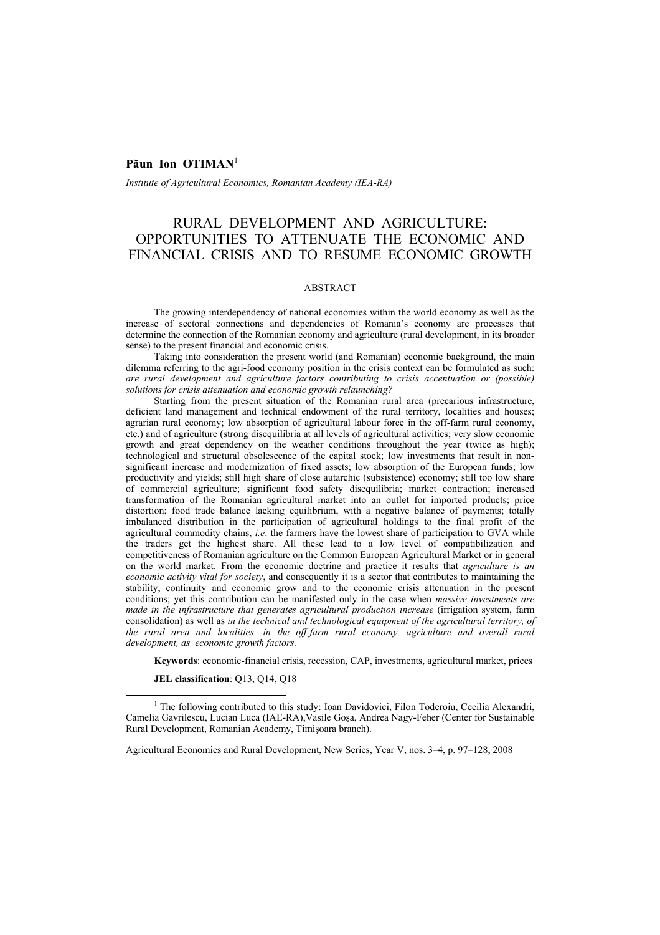## Păun Ion OTIMAN<sup>1</sup>

*Institute of Agricultural Economics, Romanian Academy (IEA-RA)* 

# RURAL DEVELOPMENT AND AGRICULTURE: OPPORTUNITIES TO ATTENUATE THE ECONOMIC AND FINANCIAL CRISIS AND TO RESUME ECONOMIC GROWTH

### ABSTRACT

The growing interdependency of national economies within the world economy as well as the increase of sectoral connections and dependencies of Romania's economy are processes that determine the connection of the Romanian economy and agriculture (rural development, in its broader sense) to the present financial and economic crisis.

Taking into consideration the present world (and Romanian) economic background, the main dilemma referring to the agri-food economy position in the crisis context can be formulated as such: *are rural development and agriculture factors contributing to crisis accentuation or (possible) solutions for crisis attenuation and economic growth relaunching?* 

Starting from the present situation of the Romanian rural area (precarious infrastructure, deficient land management and technical endowment of the rural territory, localities and houses; agrarian rural economy; low absorption of agricultural labour force in the off-farm rural economy, etc.) and of agriculture (strong disequilibria at all levels of agricultural activities; very slow economic growth and great dependency on the weather conditions throughout the year (twice as high); technological and structural obsolescence of the capital stock; low investments that result in nonsignificant increase and modernization of fixed assets; low absorption of the European funds; low productivity and yields; still high share of close autarchic (subsistence) economy; still too low share of commercial agriculture; significant food safety disequilibria; market contraction; increased transformation of the Romanian agricultural market into an outlet for imported products; price distortion; food trade balance lacking equilibrium, with a negative balance of payments; totally imbalanced distribution in the participation of agricultural holdings to the final profit of the agricultural commodity chains, *i.e*. the farmers have the lowest share of participation to GVA while the traders get the highest share. All these lead to a low level of compatibilization and competitiveness of Romanian agriculture on the Common European Agricultural Market or in general on the world market. From the economic doctrine and practice it results that *agriculture is an economic activity vital for society*, and consequently it is a sector that contributes to maintaining the stability, continuity and economic grow and to the economic crisis attenuation in the present conditions; yet this contribution can be manifested only in the case when *massive investments are made in the infrastructure that generates agricultural production increase* (irrigation system, farm consolidation) as well as *in the technical and technological equipment of the agricultural territory, of the rural area and localities, in the off-farm rural economy, agriculture and overall rural development, as economic growth factors.*

**Keywords**: economic-financial crisis, recession, CAP, investments, agricultural market, prices

**JEL classification**: Q13, Q14, Q18

<sup>&</sup>lt;u>1</u> <sup>1</sup> The following contributed to this study: Ioan Davidovici, Filon Toderoiu, Cecilia Alexandri, Camelia Gavrilescu, Lucian Luca (IAE-RA),Vasile Goşa, Andrea Nagy-Feher (Center for Sustainable Rural Development, Romanian Academy, Timişoara branch).

Agricultural Economics and Rural Development, New Series, Year V, nos. 3–4, p. 97–128, 2008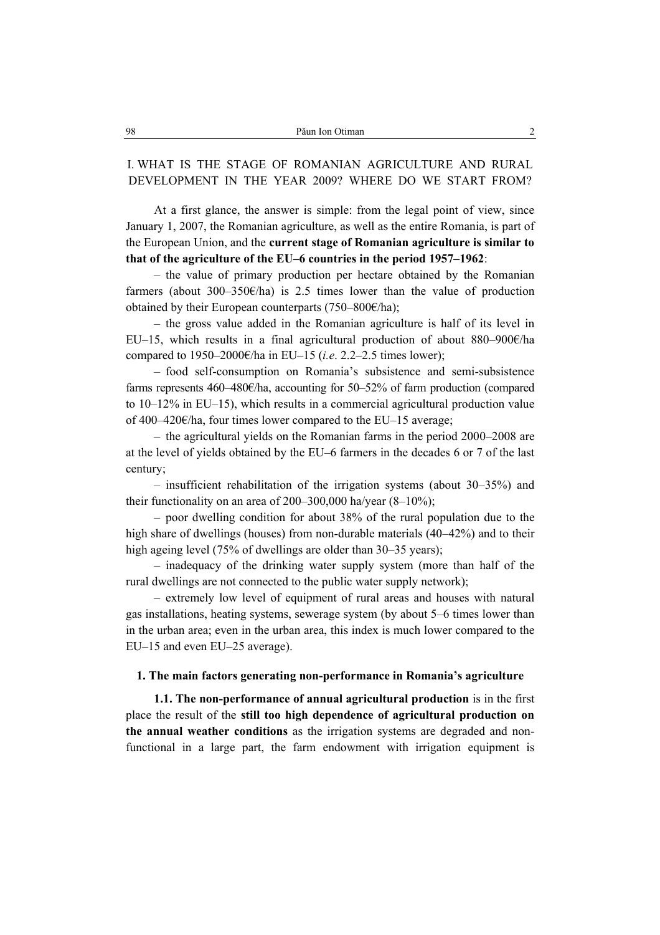# I. WHAT IS THE STAGE OF ROMANIAN AGRICULTURE AND RURAL DEVELOPMENT IN THE YEAR 2009? WHERE DO WE START FROM?

At a first glance, the answer is simple: from the legal point of view, since January 1, 2007, the Romanian agriculture, as well as the entire Romania, is part of the European Union, and the **current stage of Romanian agriculture is similar to that of the agriculture of the EU–6 countries in the period 1957–1962**:

– the value of primary production per hectare obtained by the Romanian farmers (about 300–350 $\varepsilon$ /ha) is 2.5 times lower than the value of production obtained by their European counterparts (750–800€/ha);

– the gross value added in the Romanian agriculture is half of its level in EU–15, which results in a final agricultural production of about 880–900 $\epsilon$ /ha compared to 1950–2000€/ha in EU–15 (*i.e*. 2.2–2.5 times lower);

– food self-consumption on Romania's subsistence and semi-subsistence farms represents 460–480€/ha, accounting for 50–52% of farm production (compared to 10–12% in EU–15), which results in a commercial agricultural production value of 400–420€/ha, four times lower compared to the EU–15 average;

– the agricultural yields on the Romanian farms in the period 2000–2008 are at the level of yields obtained by the EU–6 farmers in the decades 6 or 7 of the last century;

– insufficient rehabilitation of the irrigation systems (about 30–35%) and their functionality on an area of 200–300,000 ha/year  $(8-10\%)$ ;

– poor dwelling condition for about 38% of the rural population due to the high share of dwellings (houses) from non-durable materials (40–42%) and to their high ageing level (75% of dwellings are older than 30–35 years);

– inadequacy of the drinking water supply system (more than half of the rural dwellings are not connected to the public water supply network);

– extremely low level of equipment of rural areas and houses with natural gas installations, heating systems, sewerage system (by about 5–6 times lower than in the urban area; even in the urban area, this index is much lower compared to the EU–15 and even EU–25 average).

## **1. The main factors generating non-performance in Romania's agriculture**

**1.1. The non-performance of annual agricultural production** is in the first place the result of the **still too high dependence of agricultural production on the annual weather conditions** as the irrigation systems are degraded and nonfunctional in a large part, the farm endowment with irrigation equipment is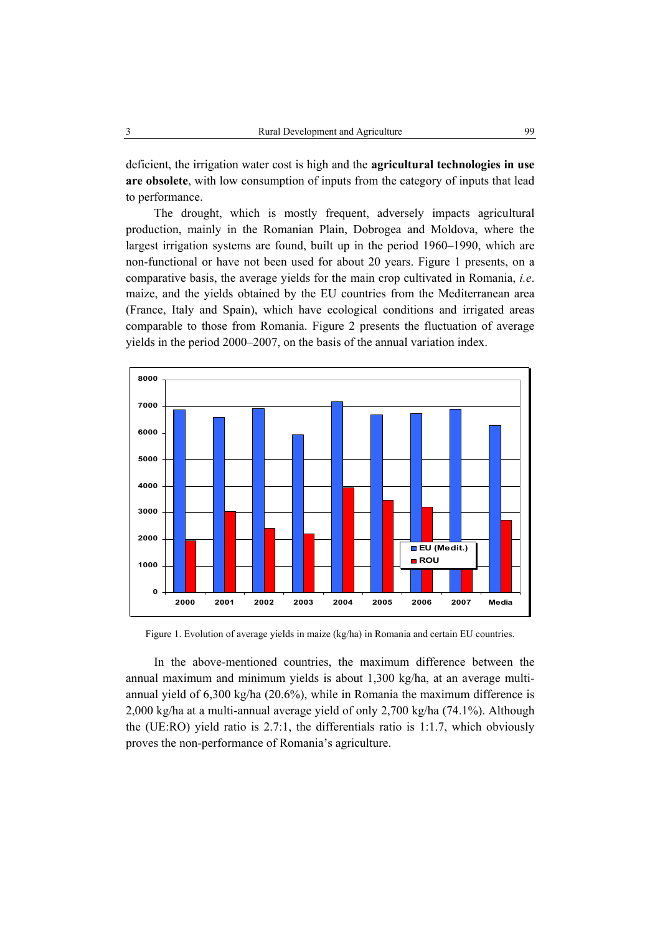deficient, the irrigation water cost is high and the **agricultural technologies in use are obsolete**, with low consumption of inputs from the category of inputs that lead to performance.

The drought, which is mostly frequent, adversely impacts agricultural production, mainly in the Romanian Plain, Dobrogea and Moldova, where the largest irrigation systems are found, built up in the period 1960–1990, which are non-functional or have not been used for about 20 years. Figure 1 presents, on a comparative basis, the average yields for the main crop cultivated in Romania, *i.e*. maize, and the yields obtained by the EU countries from the Mediterranean area (France, Italy and Spain), which have ecological conditions and irrigated areas comparable to those from Romania. Figure 2 presents the fluctuation of average yields in the period 2000–2007, on the basis of the annual variation index.



Figure 1. Evolution of average yields in maize (kg/ha) in Romania and certain EU countries.

In the above-mentioned countries, the maximum difference between the annual maximum and minimum yields is about 1,300 kg/ha, at an average multiannual yield of 6,300 kg/ha (20.6%), while in Romania the maximum difference is 2,000 kg/ha at a multi-annual average yield of only 2,700 kg/ha (74.1%). Although the (UE:RO) yield ratio is 2.7:1, the differentials ratio is 1:1.7, which obviously proves the non-performance of Romania's agriculture.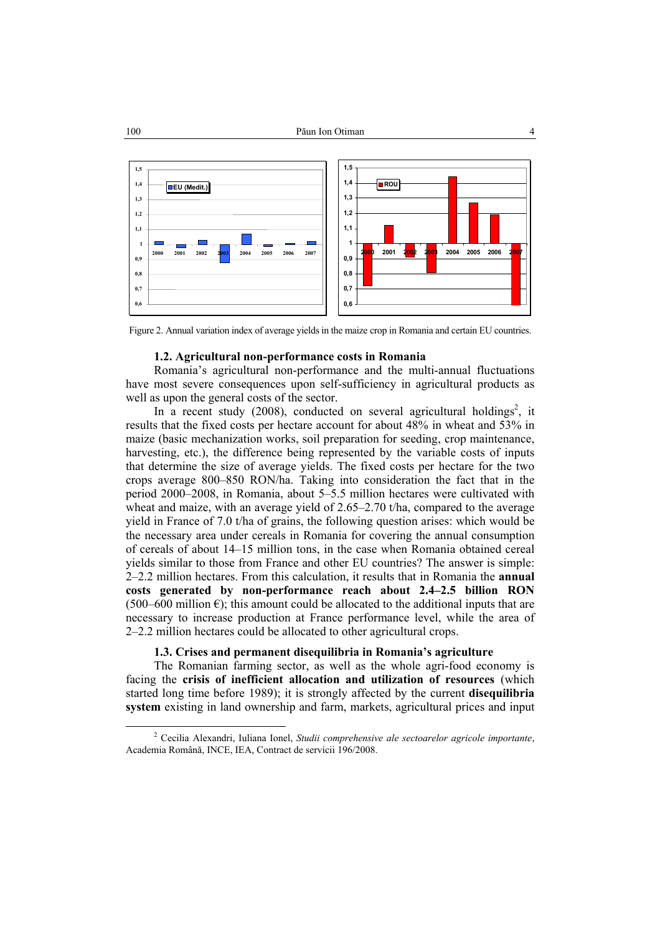

Figure 2. Annual variation index of average yields in the maize crop in Romania and certain EU countries.

### **1.2. Agricultural non-performance costs in Romania**

Romania's agricultural non-performance and the multi-annual fluctuations have most severe consequences upon self-sufficiency in agricultural products as well as upon the general costs of the sector.

In a recent study (2008), conducted on several agricultural holdings<sup>2</sup>, it results that the fixed costs per hectare account for about 48% in wheat and 53% in maize (basic mechanization works, soil preparation for seeding, crop maintenance, harvesting, etc.), the difference being represented by the variable costs of inputs that determine the size of average yields. The fixed costs per hectare for the two crops average 800–850 RON/ha. Taking into consideration the fact that in the period 2000–2008, in Romania, about 5–5.5 million hectares were cultivated with wheat and maize, with an average yield of  $2.65-2.70$  t/ha, compared to the average yield in France of 7.0 t/ha of grains, the following question arises: which would be the necessary area under cereals in Romania for covering the annual consumption of cereals of about 14–15 million tons, in the case when Romania obtained cereal yields similar to those from France and other EU countries? The answer is simple: 2–2.2 million hectares. From this calculation, it results that in Romania the **annual costs generated by non-performance reach about 2.4–2.5 billion RON**   $(500-600$  million  $\epsilon$ ); this amount could be allocated to the additional inputs that are necessary to increase production at France performance level, while the area of 2–2.2 million hectares could be allocated to other agricultural crops.

## **1.3. Crises and permanent disequilibria in Romania's agriculture**

The Romanian farming sector, as well as the whole agri-food economy is facing the **crisis of inefficient allocation and utilization of resources** (which started long time before 1989); it is strongly affected by the current **disequilibria system** existing in land ownership and farm, markets, agricultural prices and input

 <sup>2</sup> Cecilia Alexandri, Iuliana Ionel, *Studii comprehensive ale sectoarelor agricole importante*, Academia Română, INCE, IEA, Contract de servicii 196/2008.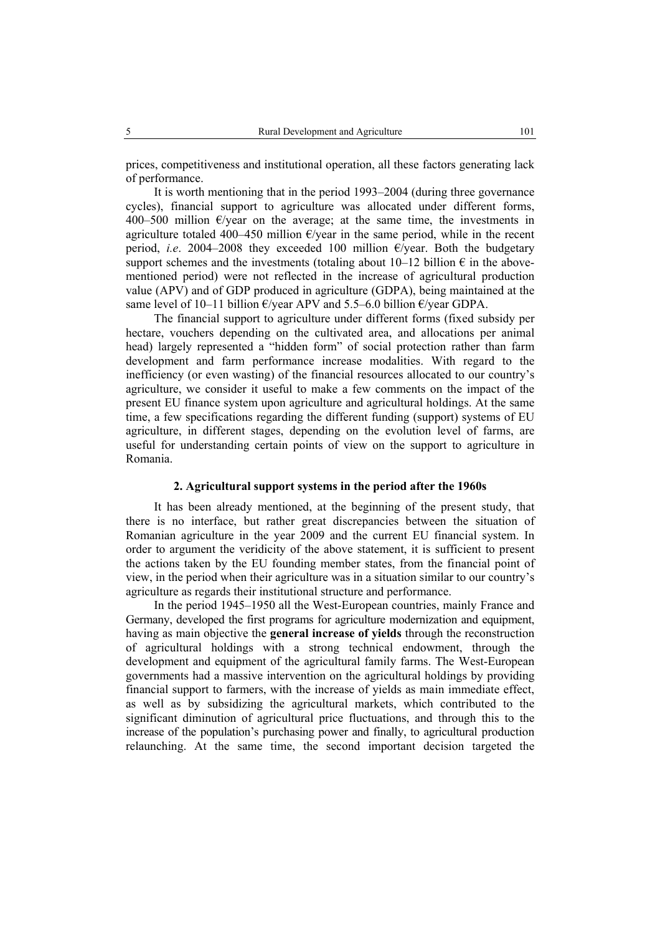prices, competitiveness and institutional operation, all these factors generating lack of performance.

It is worth mentioning that in the period 1993–2004 (during three governance cycles), financial support to agriculture was allocated under different forms, 400–500 million  $E$ /year on the average; at the same time, the investments in agriculture totaled 400–450 million  $\epsilon$ /year in the same period, while in the recent period, *i.e.* 2004–2008 they exceeded 100 million  $\epsilon$ /year. Both the budgetary support schemes and the investments (totaling about 10–12 billion  $\epsilon$  in the abovementioned period) were not reflected in the increase of agricultural production value (APV) and of GDP produced in agriculture (GDPA), being maintained at the same level of 10–11 billion  $\epsilon$ /year APV and 5.5–6.0 billion  $\epsilon$ /year GDPA.

The financial support to agriculture under different forms (fixed subsidy per hectare, vouchers depending on the cultivated area, and allocations per animal head) largely represented a "hidden form" of social protection rather than farm development and farm performance increase modalities. With regard to the inefficiency (or even wasting) of the financial resources allocated to our country's agriculture, we consider it useful to make a few comments on the impact of the present EU finance system upon agriculture and agricultural holdings. At the same time, a few specifications regarding the different funding (support) systems of EU agriculture, in different stages, depending on the evolution level of farms, are useful for understanding certain points of view on the support to agriculture in Romania.

### **2. Agricultural support systems in the period after the 1960s**

It has been already mentioned, at the beginning of the present study, that there is no interface, but rather great discrepancies between the situation of Romanian agriculture in the year 2009 and the current EU financial system. In order to argument the veridicity of the above statement, it is sufficient to present the actions taken by the EU founding member states, from the financial point of view, in the period when their agriculture was in a situation similar to our country's agriculture as regards their institutional structure and performance.

In the period 1945–1950 all the West-European countries, mainly France and Germany, developed the first programs for agriculture modernization and equipment, having as main objective the **general increase of yields** through the reconstruction of agricultural holdings with a strong technical endowment, through the development and equipment of the agricultural family farms. The West-European governments had a massive intervention on the agricultural holdings by providing financial support to farmers, with the increase of yields as main immediate effect, as well as by subsidizing the agricultural markets, which contributed to the significant diminution of agricultural price fluctuations, and through this to the increase of the population's purchasing power and finally, to agricultural production relaunching. At the same time, the second important decision targeted the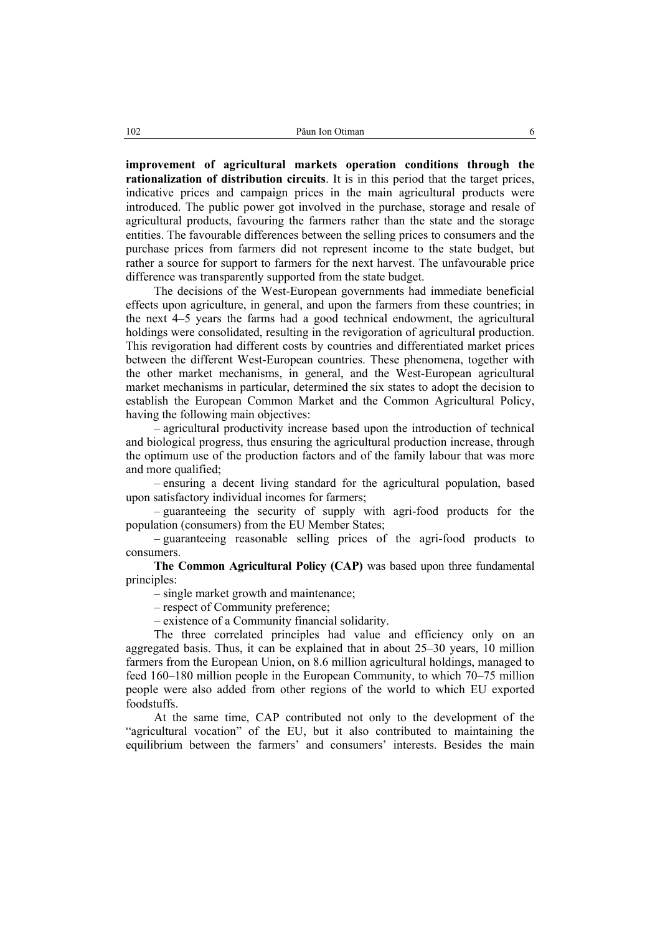**improvement of agricultural markets operation conditions through the rationalization of distribution circuits**. It is in this period that the target prices, indicative prices and campaign prices in the main agricultural products were introduced. The public power got involved in the purchase, storage and resale of agricultural products, favouring the farmers rather than the state and the storage entities. The favourable differences between the selling prices to consumers and the purchase prices from farmers did not represent income to the state budget, but rather a source for support to farmers for the next harvest. The unfavourable price difference was transparently supported from the state budget.

The decisions of the West-European governments had immediate beneficial effects upon agriculture, in general, and upon the farmers from these countries; in the next 4–5 years the farms had a good technical endowment, the agricultural holdings were consolidated, resulting in the revigoration of agricultural production. This revigoration had different costs by countries and differentiated market prices between the different West-European countries. These phenomena, together with the other market mechanisms, in general, and the West-European agricultural market mechanisms in particular, determined the six states to adopt the decision to establish the European Common Market and the Common Agricultural Policy, having the following main objectives:

– agricultural productivity increase based upon the introduction of technical and biological progress, thus ensuring the agricultural production increase, through the optimum use of the production factors and of the family labour that was more and more qualified:

– ensuring a decent living standard for the agricultural population, based upon satisfactory individual incomes for farmers;

– guaranteeing the security of supply with agri-food products for the population (consumers) from the EU Member States;

– guaranteeing reasonable selling prices of the agri-food products to consumers.

**The Common Agricultural Policy (CAP)** was based upon three fundamental principles:

– single market growth and maintenance;

– respect of Community preference;

– existence of a Community financial solidarity.

The three correlated principles had value and efficiency only on an aggregated basis. Thus, it can be explained that in about 25–30 years, 10 million farmers from the European Union, on 8.6 million agricultural holdings, managed to feed 160–180 million people in the European Community, to which 70–75 million people were also added from other regions of the world to which EU exported foodstuffs.

At the same time, CAP contributed not only to the development of the "agricultural vocation" of the EU, but it also contributed to maintaining the equilibrium between the farmers' and consumers' interests. Besides the main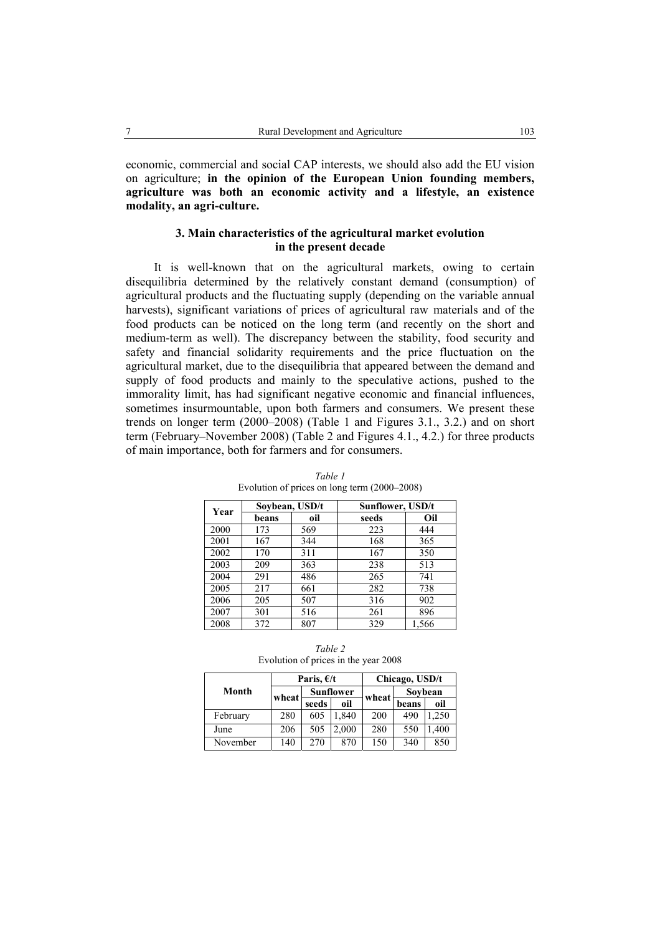economic, commercial and social CAP interests, we should also add the EU vision on agriculture; **in the opinion of the European Union founding members, agriculture was both an economic activity and a lifestyle, an existence modality, an agri-culture.**

## **3. Main characteristics of the agricultural market evolution in the present decade**

It is well-known that on the agricultural markets, owing to certain disequilibria determined by the relatively constant demand (consumption) of agricultural products and the fluctuating supply (depending on the variable annual harvests), significant variations of prices of agricultural raw materials and of the food products can be noticed on the long term (and recently on the short and medium-term as well). The discrepancy between the stability, food security and safety and financial solidarity requirements and the price fluctuation on the agricultural market, due to the disequilibria that appeared between the demand and supply of food products and mainly to the speculative actions, pushed to the immorality limit, has had significant negative economic and financial influences, sometimes insurmountable, upon both farmers and consumers. We present these trends on longer term (2000–2008) (Table 1 and Figures 3.1., 3.2.) and on short term (February–November 2008) (Table 2 and Figures 4.1., 4.2.) for three products of main importance, both for farmers and for consumers.

| Year |       | Soybean, USD/t | Sunflower, USD/t |       |  |  |  |
|------|-------|----------------|------------------|-------|--|--|--|
|      | beans | oil            | seeds            | Oil   |  |  |  |
| 2000 | 173   | 569            | 223              | 444   |  |  |  |
| 2001 | 167   | 344            | 168              | 365   |  |  |  |
| 2002 | 170   | 311            | 167              | 350   |  |  |  |
| 2003 | 209   | 363            | 238              | 513   |  |  |  |
| 2004 | 291   | 486            | 265              | 741   |  |  |  |
| 2005 | 217   | 661            | 282              | 738   |  |  |  |
| 2006 | 205   | 507            | 316              | 902   |  |  |  |
| 2007 | 301   | 516            | 261              | 896   |  |  |  |
| 2008 | 372   | 807            | 329              | 1,566 |  |  |  |

*Table 1*  Evolution of prices on long term (2000–2008)

*Table 2*  Evolution of prices in the year 2008

|          |       | Paris, $E/t$ |                  | Chicago, USD/t |         |       |  |  |
|----------|-------|--------------|------------------|----------------|---------|-------|--|--|
| Month    | wheat |              | <b>Sunflower</b> | wheat          | Sovbean |       |  |  |
|          |       | seeds        | oil              |                | beans   | oil   |  |  |
| February | 280   | 605          | 1.840            | 200            | 490     | 1,250 |  |  |
| June     | 206   | 505          | 2.000            | 280            | 550     | .400  |  |  |
| November | 140   | 270          | 870              | 150            | 340     | 850   |  |  |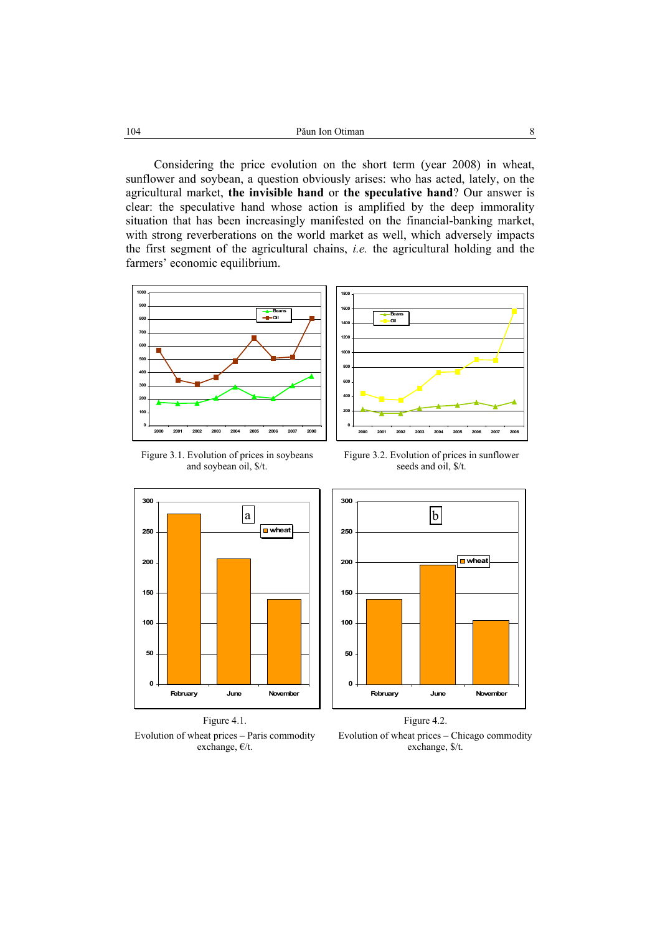Considering the price evolution on the short term (year 2008) in wheat, sunflower and soybean, a question obviously arises: who has acted, lately, on the agricultural market, **the invisible hand** or **the speculative hand**? Our answer is clear: the speculative hand whose action is amplified by the deep immorality situation that has been increasingly manifested on the financial-banking market, with strong reverberations on the world market as well, which adversely impacts the first segment of the agricultural chains, *i.e.* the agricultural holding and the farmers' economic equilibrium.



Figure 3.1. Evolution of prices in soybeans and soybean oil, \$/t.



**Beans Oil**

**2000 2001 2002 2003 2004 2005 2006 2007 2008**









Evolution of wheat prices – Chicago commodity exchange, \$/t.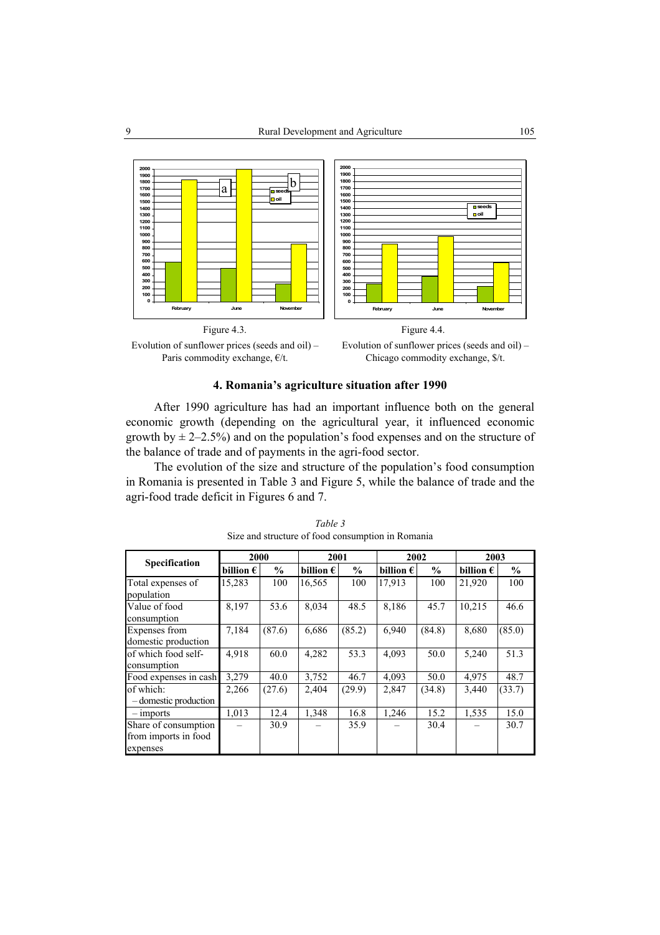





## **4. Romania's agriculture situation after 1990**

After 1990 agriculture has had an important influence both on the general economic growth (depending on the agricultural year, it influenced economic growth by  $\pm$  2–2.5%) and on the population's food expenses and on the structure of the balance of trade and of payments in the agri-food sector.

The evolution of the size and structure of the population's food consumption in Romania is presented in Table 3 and Figure 5, while the balance of trade and the agri-food trade deficit in Figures 6 and 7.

| Specification                                            | 2000               |               | 2001               |               | 2002               |               | 2003               |               |
|----------------------------------------------------------|--------------------|---------------|--------------------|---------------|--------------------|---------------|--------------------|---------------|
|                                                          | billion $\epsilon$ | $\frac{0}{0}$ | billion $\epsilon$ | $\frac{0}{0}$ | billion $\epsilon$ | $\frac{0}{0}$ | billion $\epsilon$ | $\frac{0}{0}$ |
| Total expenses of<br>population                          | 15,283             | 100           | 16,565             | 100           | 17,913             | 100           | 21,920             | 100           |
| Value of food<br>consumption                             | 8,197              | 53.6          | 8,034              | 48.5          | 8,186              | 45.7          | 10,215             | 46.6          |
| <b>Expenses</b> from<br>domestic production              | 7,184              | (87.6)        | 6,686              | (85.2)        | 6.940              | (84.8)        | 8,680              | (85.0)        |
| of which food self-<br>consumption                       | 4,918              | 60.0          | 4,282              | 53.3          | 4,093              | 50.0          | 5,240              | 51.3          |
| Food expenses in cash                                    | 3,279              | 40.0          | 3,752              | 46.7          | 4,093              | 50.0          | 4,975              | 48.7          |
| of which:<br>- domestic production                       | 2,266              | (27.6)        | 2,404              | (29.9)        | 2,847              | (34.8)        | 3,440              | (33.7)        |
| $-$ imports                                              | 1,013              | 12.4          | 1,348              | 16.8          | 1,246              | 15.2          | 1,535              | 15.0          |
| Share of consumption<br>from imports in food<br>expenses |                    | 30.9          |                    | 35.9          |                    | 30.4          |                    | 30.7          |

*Table 3*  Size and structure of food consumption in Romania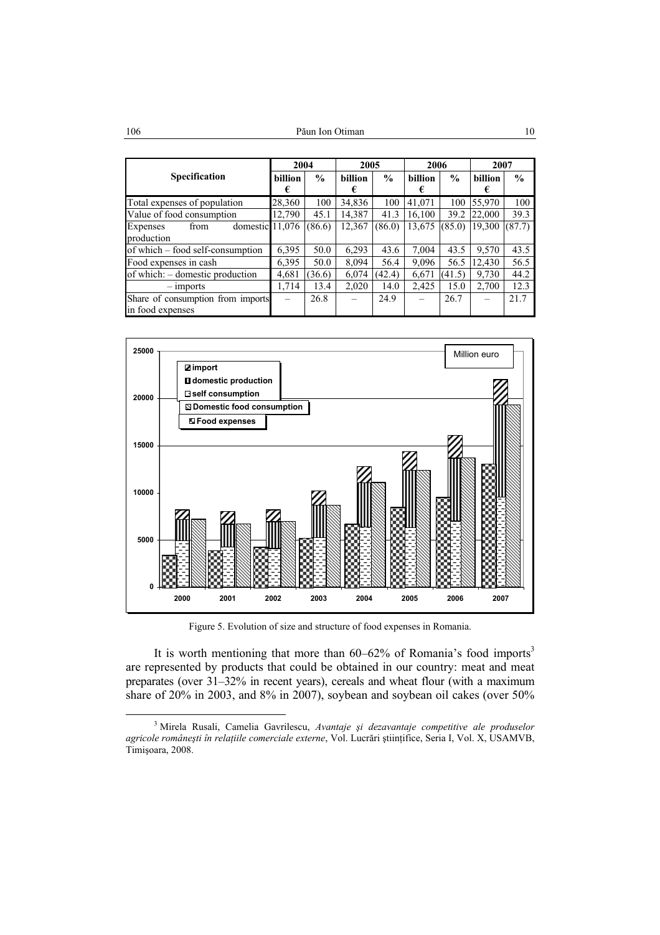|                                                       | 2004                |               | 2005         |               | 2006                |               | 2007                |               |
|-------------------------------------------------------|---------------------|---------------|--------------|---------------|---------------------|---------------|---------------------|---------------|
| <b>Specification</b>                                  | <b>billion</b><br>€ | $\frac{0}{0}$ | billion<br>€ | $\frac{0}{0}$ | <b>billion</b><br>€ | $\frac{0}{0}$ | <b>billion</b><br>€ | $\frac{0}{0}$ |
| Total expenses of population                          | 28,360              | 100           | 34,836       | 100           | 41,071              | 100           | 55,970              | 100           |
| Value of food consumption                             | 12,790              | 45.1          | 14,387       | 41.3          | 16.100              | 39.2          | 22,000              | 39.3          |
| Expenses<br>domestic $11,076$<br>from<br>production   |                     | (86.6)        | 12,367       | (86.0)        | 13,675              | (85.0)        | 19,300              | (87.7)        |
| of which – food self-consumption                      | 6,395               | 50.0          | 6,293        | 43.6          | 7,004               | 43.5          | 9,570               | 43.5          |
| Food expenses in cash                                 | 6,395               | 50.0          | 8,094        | 56.4          | 9,096               | 56.5          | 12,430              | 56.5          |
| of which: – domestic production                       | 4,681               | 36.6          | 6,074        | (42.4)        | 6,671               | (41.5)        | 9,730               | 44.2          |
| $-$ imports                                           | 1,714               | 13.4          | 2,020        | 14.0          | 2,425               | 15.0          | 2,700               | 12.3          |
| Share of consumption from imports<br>in food expenses |                     | 26.8          |              | 24.9          |                     | 26.7          |                     | 21.7          |



Figure 5. Evolution of size and structure of food expenses in Romania.

It is worth mentioning that more than  $60-62\%$  of Romania's food imports<sup>3</sup> are represented by products that could be obtained in our country: meat and meat preparates (over 31–32% in recent years), cereals and wheat flour (with a maximum share of 20% in 2003, and 8% in 2007), soybean and soybean oil cakes (over 50%

 <sup>3</sup> Mirela Rusali, Camelia Gavrilescu, *Avantaje şi dezavantaje competitive ale produselor agricole româneşti în relaţiile comerciale externe*, Vol. Lucrări ştiinţifice, Seria I, Vol. X, USAMVB, Timişoara, 2008.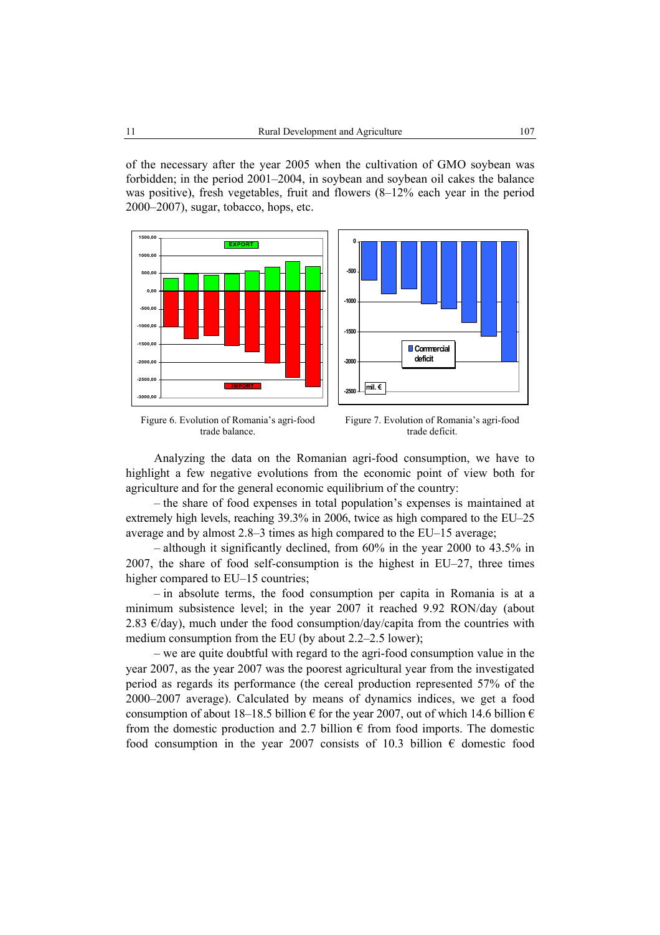of the necessary after the year 2005 when the cultivation of GMO soybean was forbidden; in the period 2001–2004, in soybean and soybean oil cakes the balance was positive), fresh vegetables, fruit and flowers (8–12% each year in the period 2000–2007), sugar, tobacco, hops, etc.









Analyzing the data on the Romanian agri-food consumption, we have to highlight a few negative evolutions from the economic point of view both for agriculture and for the general economic equilibrium of the country:

– the share of food expenses in total population's expenses is maintained at extremely high levels, reaching 39.3% in 2006, twice as high compared to the EU–25 average and by almost 2.8–3 times as high compared to the EU–15 average;

 $-$  although it significantly declined, from 60% in the year 2000 to 43.5% in 2007, the share of food self-consumption is the highest in EU–27, three times higher compared to EU–15 countries:

– in absolute terms, the food consumption per capita in Romania is at a minimum subsistence level; in the year 2007 it reached 9.92 RON/day (about 2.83  $\epsilon$ /day), much under the food consumption/day/capita from the countries with medium consumption from the EU (by about 2.2–2.5 lower);

– we are quite doubtful with regard to the agri-food consumption value in the year 2007, as the year 2007 was the poorest agricultural year from the investigated period as regards its performance (the cereal production represented 57% of the 2000–2007 average). Calculated by means of dynamics indices, we get a food consumption of about 18–18.5 billion  $\epsilon$  for the year 2007, out of which 14.6 billion  $\epsilon$ from the domestic production and 2.7 billion  $\epsilon$  from food imports. The domestic food consumption in the year 2007 consists of 10.3 billion  $\epsilon$  domestic food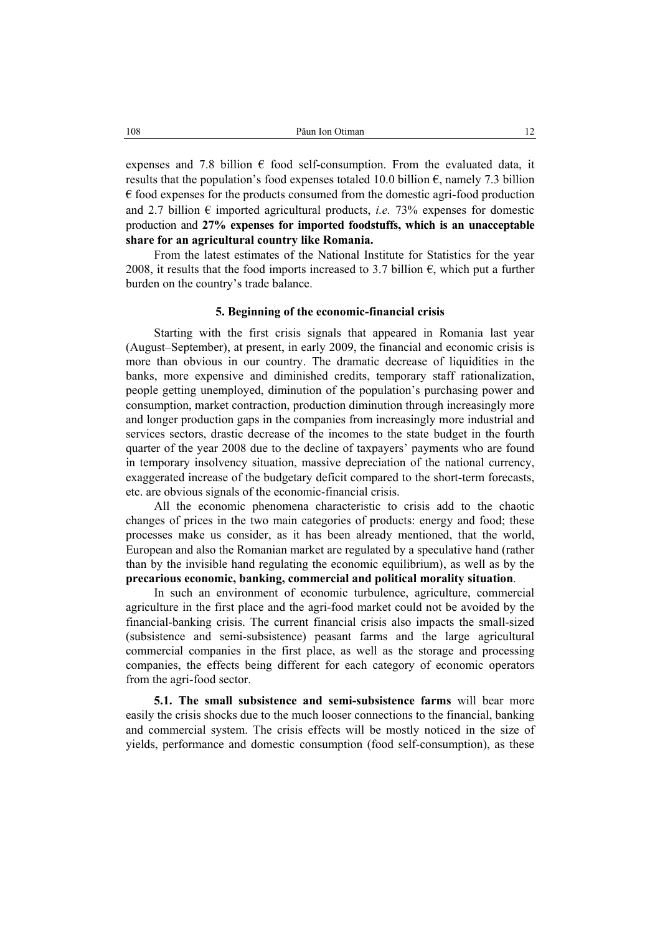expenses and 7.8 billion  $\epsilon$  food self-consumption. From the evaluated data, it results that the population's food expenses totaled 10.0 billion  $\epsilon$ , namely 7.3 billion  $\epsilon$  food expenses for the products consumed from the domestic agri-food production and 2.7 billion  $\epsilon$  imported agricultural products, *i.e.* 73% expenses for domestic production and **27% expenses for imported foodstuffs, which is an unacceptable share for an agricultural country like Romania.** 

From the latest estimates of the National Institute for Statistics for the year 2008, it results that the food imports increased to 3.7 billion  $\epsilon$ , which put a further burden on the country's trade balance.

### **5. Beginning of the economic-financial crisis**

Starting with the first crisis signals that appeared in Romania last year (August–September), at present, in early 2009, the financial and economic crisis is more than obvious in our country. The dramatic decrease of liquidities in the banks, more expensive and diminished credits, temporary staff rationalization, people getting unemployed, diminution of the population's purchasing power and consumption, market contraction, production diminution through increasingly more and longer production gaps in the companies from increasingly more industrial and services sectors, drastic decrease of the incomes to the state budget in the fourth quarter of the year 2008 due to the decline of taxpayers' payments who are found in temporary insolvency situation, massive depreciation of the national currency, exaggerated increase of the budgetary deficit compared to the short-term forecasts, etc. are obvious signals of the economic-financial crisis.

All the economic phenomena characteristic to crisis add to the chaotic changes of prices in the two main categories of products: energy and food; these processes make us consider, as it has been already mentioned, that the world, European and also the Romanian market are regulated by a speculative hand (rather than by the invisible hand regulating the economic equilibrium), as well as by the **precarious economic, banking, commercial and political morality situation**.

In such an environment of economic turbulence, agriculture, commercial agriculture in the first place and the agri-food market could not be avoided by the financial-banking crisis. The current financial crisis also impacts the small-sized (subsistence and semi-subsistence) peasant farms and the large agricultural commercial companies in the first place, as well as the storage and processing companies, the effects being different for each category of economic operators from the agri-food sector.

**5.1. The small subsistence and semi-subsistence farms** will bear more easily the crisis shocks due to the much looser connections to the financial, banking and commercial system. The crisis effects will be mostly noticed in the size of yields, performance and domestic consumption (food self-consumption), as these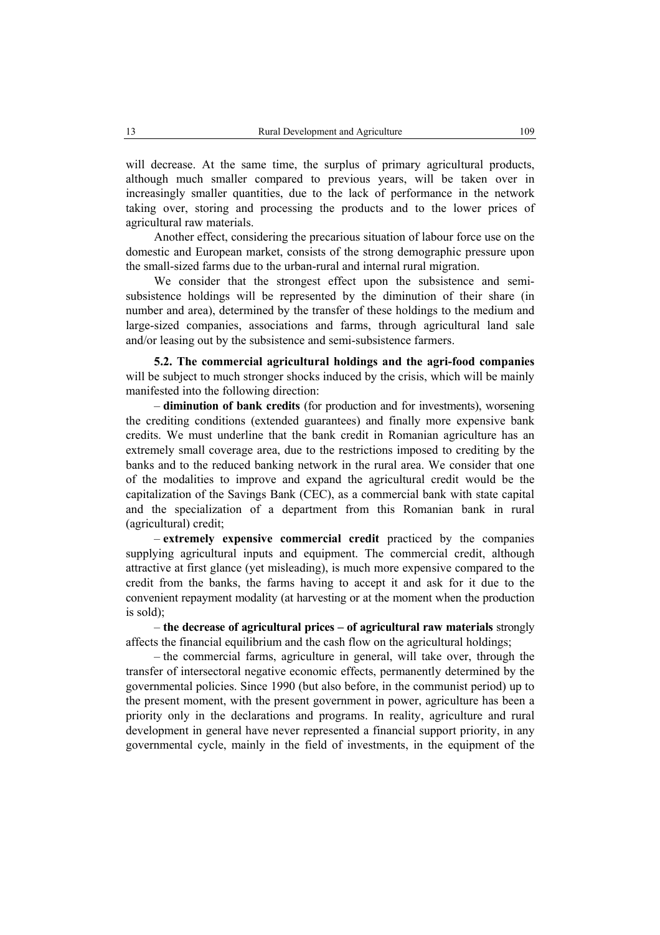will decrease. At the same time, the surplus of primary agricultural products, although much smaller compared to previous years, will be taken over in increasingly smaller quantities, due to the lack of performance in the network taking over, storing and processing the products and to the lower prices of agricultural raw materials.

Another effect, considering the precarious situation of labour force use on the domestic and European market, consists of the strong demographic pressure upon the small-sized farms due to the urban-rural and internal rural migration.

We consider that the strongest effect upon the subsistence and semisubsistence holdings will be represented by the diminution of their share (in number and area), determined by the transfer of these holdings to the medium and large-sized companies, associations and farms, through agricultural land sale and/or leasing out by the subsistence and semi-subsistence farmers.

**5.2. The commercial agricultural holdings and the agri-food companies** will be subject to much stronger shocks induced by the crisis, which will be mainly manifested into the following direction:

– **diminution of bank credits** (for production and for investments), worsening the crediting conditions (extended guarantees) and finally more expensive bank credits. We must underline that the bank credit in Romanian agriculture has an extremely small coverage area, due to the restrictions imposed to crediting by the banks and to the reduced banking network in the rural area. We consider that one of the modalities to improve and expand the agricultural credit would be the capitalization of the Savings Bank (CEC), as a commercial bank with state capital and the specialization of a department from this Romanian bank in rural (agricultural) credit;

– **extremely expensive commercial credit** practiced by the companies supplying agricultural inputs and equipment. The commercial credit, although attractive at first glance (yet misleading), is much more expensive compared to the credit from the banks, the farms having to accept it and ask for it due to the convenient repayment modality (at harvesting or at the moment when the production is sold);

– **the decrease of agricultural prices – of agricultural raw materials** strongly affects the financial equilibrium and the cash flow on the agricultural holdings;

– the commercial farms, agriculture in general, will take over, through the transfer of intersectoral negative economic effects, permanently determined by the governmental policies. Since 1990 (but also before, in the communist period) up to the present moment, with the present government in power, agriculture has been a priority only in the declarations and programs. In reality, agriculture and rural development in general have never represented a financial support priority, in any governmental cycle, mainly in the field of investments, in the equipment of the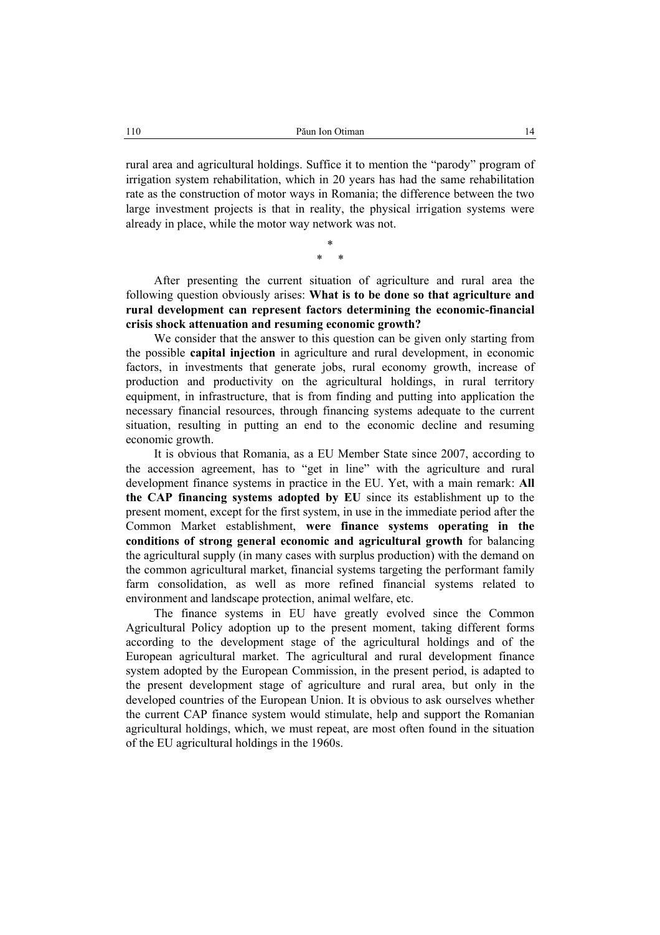rural area and agricultural holdings. Suffice it to mention the "parody" program of irrigation system rehabilitation, which in 20 years has had the same rehabilitation rate as the construction of motor ways in Romania; the difference between the two large investment projects is that in reality, the physical irrigation systems were already in place, while the motor way network was not.

> \* \* \*

After presenting the current situation of agriculture and rural area the following question obviously arises: **What is to be done so that agriculture and rural development can represent factors determining the economic-financial crisis shock attenuation and resuming economic growth?**

We consider that the answer to this question can be given only starting from the possible **capital injection** in agriculture and rural development, in economic factors, in investments that generate jobs, rural economy growth, increase of production and productivity on the agricultural holdings, in rural territory equipment, in infrastructure, that is from finding and putting into application the necessary financial resources, through financing systems adequate to the current situation, resulting in putting an end to the economic decline and resuming economic growth.

It is obvious that Romania, as a EU Member State since 2007, according to the accession agreement, has to "get in line" with the agriculture and rural development finance systems in practice in the EU. Yet, with a main remark: **All the CAP financing systems adopted by EU** since its establishment up to the present moment, except for the first system, in use in the immediate period after the Common Market establishment, **were finance systems operating in the conditions of strong general economic and agricultural growth** for balancing the agricultural supply (in many cases with surplus production) with the demand on the common agricultural market, financial systems targeting the performant family farm consolidation, as well as more refined financial systems related to environment and landscape protection, animal welfare, etc.

The finance systems in EU have greatly evolved since the Common Agricultural Policy adoption up to the present moment, taking different forms according to the development stage of the agricultural holdings and of the European agricultural market. The agricultural and rural development finance system adopted by the European Commission, in the present period, is adapted to the present development stage of agriculture and rural area, but only in the developed countries of the European Union. It is obvious to ask ourselves whether the current CAP finance system would stimulate, help and support the Romanian agricultural holdings, which, we must repeat, are most often found in the situation of the EU agricultural holdings in the 1960s.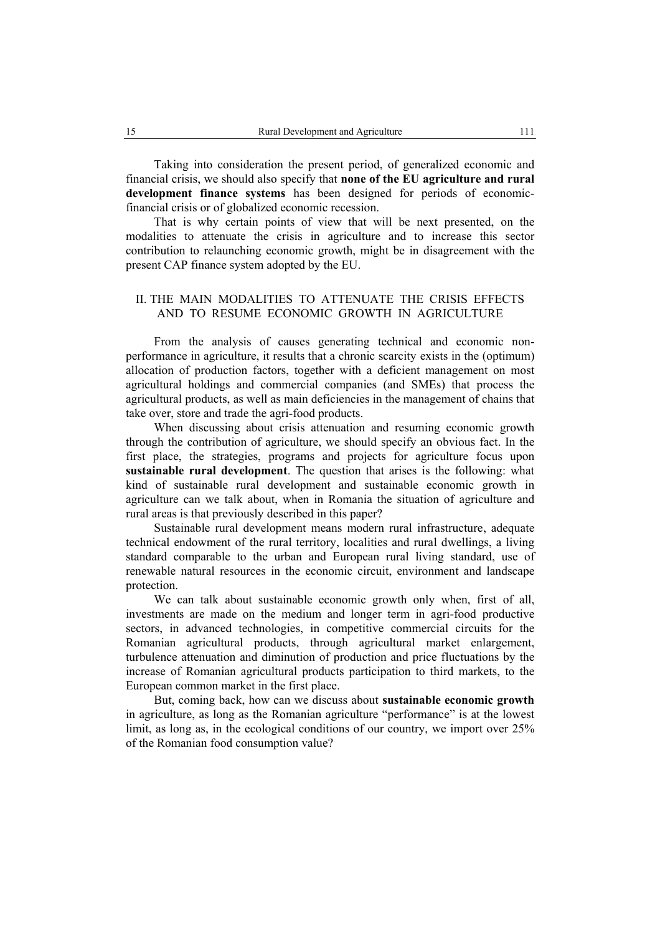Taking into consideration the present period, of generalized economic and financial crisis, we should also specify that **none of the EU agriculture and rural development finance systems** has been designed for periods of economicfinancial crisis or of globalized economic recession.

That is why certain points of view that will be next presented, on the modalities to attenuate the crisis in agriculture and to increase this sector contribution to relaunching economic growth, might be in disagreement with the present CAP finance system adopted by the EU.

# II. THE MAIN MODALITIES TO ATTENUATE THE CRISIS EFFECTS AND TO RESUME ECONOMIC GROWTH IN AGRICULTURE

From the analysis of causes generating technical and economic nonperformance in agriculture, it results that a chronic scarcity exists in the (optimum) allocation of production factors, together with a deficient management on most agricultural holdings and commercial companies (and SMEs) that process the agricultural products, as well as main deficiencies in the management of chains that take over, store and trade the agri-food products.

When discussing about crisis attenuation and resuming economic growth through the contribution of agriculture, we should specify an obvious fact. In the first place, the strategies, programs and projects for agriculture focus upon **sustainable rural development**. The question that arises is the following: what kind of sustainable rural development and sustainable economic growth in agriculture can we talk about, when in Romania the situation of agriculture and rural areas is that previously described in this paper?

Sustainable rural development means modern rural infrastructure, adequate technical endowment of the rural territory, localities and rural dwellings, a living standard comparable to the urban and European rural living standard, use of renewable natural resources in the economic circuit, environment and landscape protection.

We can talk about sustainable economic growth only when, first of all, investments are made on the medium and longer term in agri-food productive sectors, in advanced technologies, in competitive commercial circuits for the Romanian agricultural products, through agricultural market enlargement, turbulence attenuation and diminution of production and price fluctuations by the increase of Romanian agricultural products participation to third markets, to the European common market in the first place.

But, coming back, how can we discuss about **sustainable economic growth** in agriculture, as long as the Romanian agriculture "performance" is at the lowest limit, as long as, in the ecological conditions of our country, we import over 25% of the Romanian food consumption value?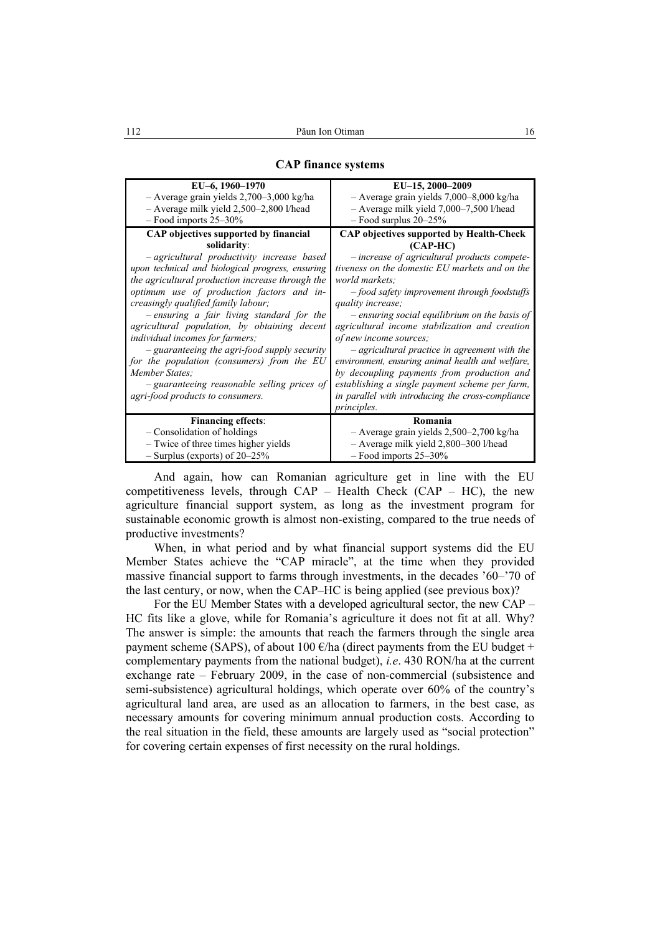| EU-6, 1960-1970<br>$-$ Average grain yields 2,700–3,000 kg/ha<br>$-$ Average milk yield 2,500–2,800 l/head                                                                                                                                                                                                                                                                                                                                                                                                                                                                       | EU-15, 2000-2009<br>- Average grain yields 7,000-8,000 kg/ha<br>$-$ Average milk yield 7,000–7,500 l/head                                                                                                                                                                                                                                                                                                                                                                                                                                                                                    |
|----------------------------------------------------------------------------------------------------------------------------------------------------------------------------------------------------------------------------------------------------------------------------------------------------------------------------------------------------------------------------------------------------------------------------------------------------------------------------------------------------------------------------------------------------------------------------------|----------------------------------------------------------------------------------------------------------------------------------------------------------------------------------------------------------------------------------------------------------------------------------------------------------------------------------------------------------------------------------------------------------------------------------------------------------------------------------------------------------------------------------------------------------------------------------------------|
| $-$ Food imports 25–30%                                                                                                                                                                                                                                                                                                                                                                                                                                                                                                                                                          | $-$ Food surplus 20–25%                                                                                                                                                                                                                                                                                                                                                                                                                                                                                                                                                                      |
| CAP objectives supported by financial<br>solidarity:                                                                                                                                                                                                                                                                                                                                                                                                                                                                                                                             | <b>CAP objectives supported by Health-Check</b><br>$(CAP-HC)$                                                                                                                                                                                                                                                                                                                                                                                                                                                                                                                                |
| - agricultural productivity increase based<br>upon technical and biological progress, ensuring<br>the agricultural production increase through the<br>optimum use of production factors and in-<br>creasingly qualified family labour;<br>- ensuring a fair living standard for the<br>agricultural population, by obtaining decent<br><i>individual incomes for farmers;</i><br>- guaranteeing the agri-food supply security<br>for the population (consumers) from the EU<br>Member States:<br>- guaranteeing reasonable selling prices of<br>agri-food products to consumers. | -increase of agricultural products compete-<br>tiveness on the domestic EU markets and on the<br>world markets;<br>$-$ food safety improvement through foodstuffs<br>quality increase;<br>- ensuring social equilibrium on the basis of<br>agricultural income stabilization and creation<br>of new income sources;<br>- agricultural practice in agreement with the<br>environment, ensuring animal health and welfare,<br>by decoupling payments from production and<br>establishing a single payment scheme per farm,<br>in parallel with introducing the cross-compliance<br>principles. |
| <b>Financing effects:</b>                                                                                                                                                                                                                                                                                                                                                                                                                                                                                                                                                        | Romania                                                                                                                                                                                                                                                                                                                                                                                                                                                                                                                                                                                      |
| - Consolidation of holdings<br>- Twice of three times higher yields<br>$-$ Surplus (exports) of 20–25%                                                                                                                                                                                                                                                                                                                                                                                                                                                                           | $-$ Average grain yields 2,500–2,700 kg/ha<br>- Average milk yield 2,800-300 l/head<br>$-$ Food imports 25–30%                                                                                                                                                                                                                                                                                                                                                                                                                                                                               |

#### **CAP finance systems**

And again, how can Romanian agriculture get in line with the EU competitiveness levels, through  $CAP - Health Check (CAP - HC)$ , the new agriculture financial support system, as long as the investment program for sustainable economic growth is almost non-existing, compared to the true needs of productive investments?

When, in what period and by what financial support systems did the EU Member States achieve the "CAP miracle", at the time when they provided massive financial support to farms through investments, in the decades '60–'70 of the last century, or now, when the CAP–HC is being applied (see previous box)?

For the EU Member States with a developed agricultural sector, the new CAP – HC fits like a glove, while for Romania's agriculture it does not fit at all. Why? The answer is simple: the amounts that reach the farmers through the single area payment scheme (SAPS), of about 100  $\epsilon$ /ha (direct payments from the EU budget + complementary payments from the national budget), *i.e*. 430 RON/ha at the current exchange rate – February 2009, in the case of non-commercial (subsistence and semi-subsistence) agricultural holdings, which operate over 60% of the country's agricultural land area, are used as an allocation to farmers, in the best case, as necessary amounts for covering minimum annual production costs. According to the real situation in the field, these amounts are largely used as "social protection" for covering certain expenses of first necessity on the rural holdings.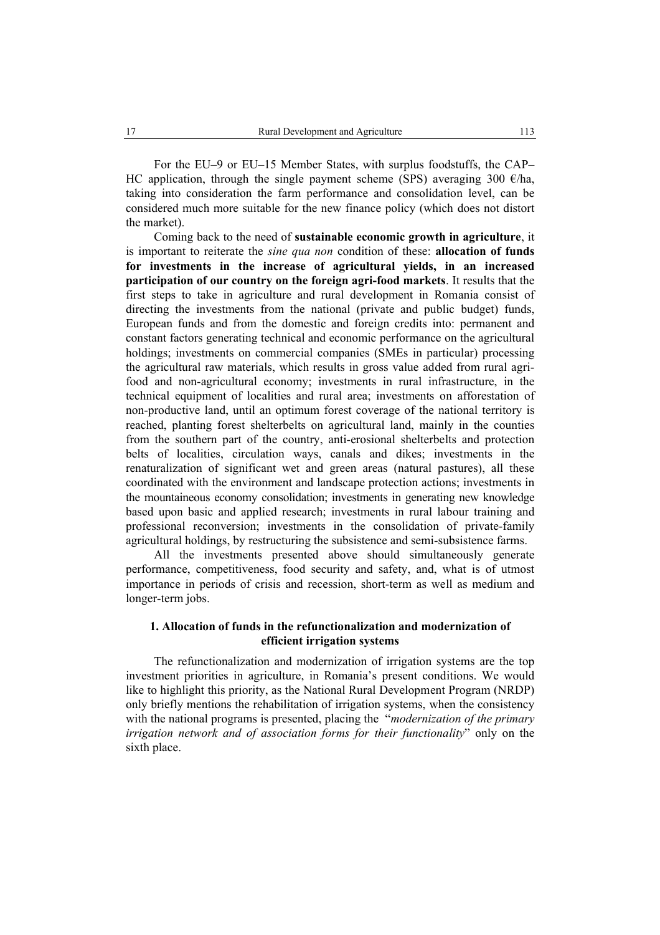For the EU–9 or EU–15 Member States, with surplus foodstuffs, the CAP– HC application, through the single payment scheme (SPS) averaging 300  $\epsilon$ /ha, taking into consideration the farm performance and consolidation level, can be considered much more suitable for the new finance policy (which does not distort the market).

Coming back to the need of **sustainable economic growth in agriculture**, it is important to reiterate the *sine qua non* condition of these: **allocation of funds for investments in the increase of agricultural yields, in an increased participation of our country on the foreign agri-food markets**. It results that the first steps to take in agriculture and rural development in Romania consist of directing the investments from the national (private and public budget) funds, European funds and from the domestic and foreign credits into: permanent and constant factors generating technical and economic performance on the agricultural holdings; investments on commercial companies (SMEs in particular) processing the agricultural raw materials, which results in gross value added from rural agrifood and non-agricultural economy; investments in rural infrastructure, in the technical equipment of localities and rural area; investments on afforestation of non-productive land, until an optimum forest coverage of the national territory is reached, planting forest shelterbelts on agricultural land, mainly in the counties from the southern part of the country, anti-erosional shelterbelts and protection belts of localities, circulation ways, canals and dikes; investments in the renaturalization of significant wet and green areas (natural pastures), all these coordinated with the environment and landscape protection actions; investments in the mountaineous economy consolidation; investments in generating new knowledge based upon basic and applied research; investments in rural labour training and professional reconversion; investments in the consolidation of private-family agricultural holdings, by restructuring the subsistence and semi-subsistence farms.

All the investments presented above should simultaneously generate performance, competitiveness, food security and safety, and, what is of utmost importance in periods of crisis and recession, short-term as well as medium and longer-term jobs.

## **1. Allocation of funds in the refunctionalization and modernization of efficient irrigation systems**

The refunctionalization and modernization of irrigation systems are the top investment priorities in agriculture, in Romania's present conditions. We would like to highlight this priority, as the National Rural Development Program (NRDP) only briefly mentions the rehabilitation of irrigation systems, when the consistency with the national programs is presented, placing the "*modernization of the primary irrigation network and of association forms for their functionality*" only on the sixth place.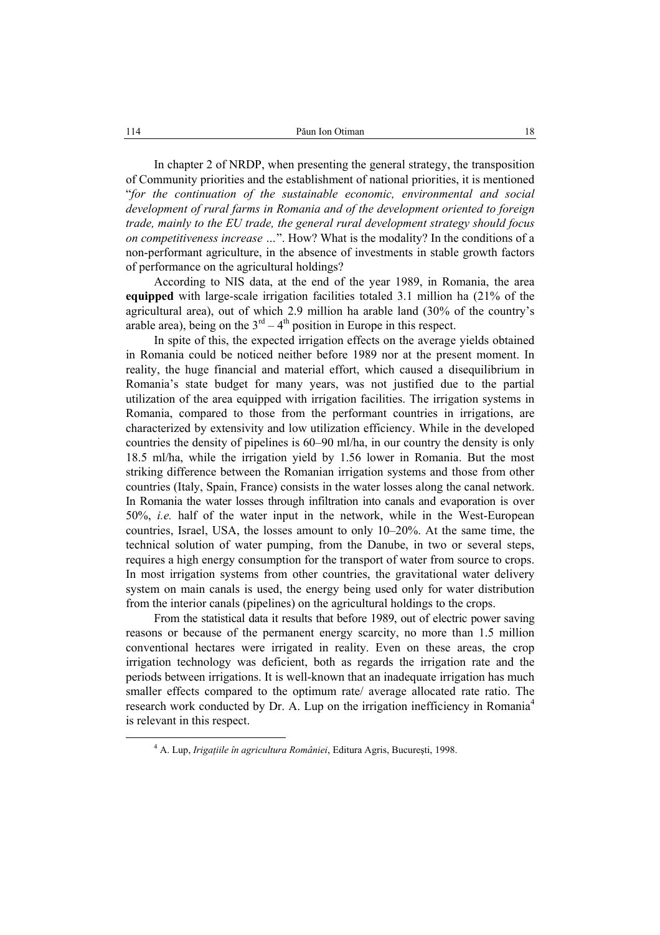In chapter 2 of NRDP, when presenting the general strategy, the transposition of Community priorities and the establishment of national priorities, it is mentioned "*for the continuation of the sustainable economic, environmental and social development of rural farms in Romania and of the development oriented to foreign trade, mainly to the EU trade, the general rural development strategy should focus on competitiveness increase …*". How? What is the modality? In the conditions of a non-performant agriculture, in the absence of investments in stable growth factors of performance on the agricultural holdings?

According to NIS data, at the end of the year 1989, in Romania, the area **equipped** with large-scale irrigation facilities totaled 3.1 million ha (21% of the agricultural area), out of which 2.9 million ha arable land (30% of the country's arable area), being on the  $3<sup>rd</sup> - 4<sup>th</sup>$  position in Europe in this respect.

In spite of this, the expected irrigation effects on the average yields obtained in Romania could be noticed neither before 1989 nor at the present moment. In reality, the huge financial and material effort, which caused a disequilibrium in Romania's state budget for many years, was not justified due to the partial utilization of the area equipped with irrigation facilities. The irrigation systems in Romania, compared to those from the performant countries in irrigations, are characterized by extensivity and low utilization efficiency. While in the developed countries the density of pipelines is 60–90 ml/ha, in our country the density is only 18.5 ml/ha, while the irrigation yield by 1.56 lower in Romania. But the most striking difference between the Romanian irrigation systems and those from other countries (Italy, Spain, France) consists in the water losses along the canal network. In Romania the water losses through infiltration into canals and evaporation is over 50%, *i.e.* half of the water input in the network, while in the West-European countries, Israel, USA, the losses amount to only 10–20%. At the same time, the technical solution of water pumping, from the Danube, in two or several steps, requires a high energy consumption for the transport of water from source to crops. In most irrigation systems from other countries, the gravitational water delivery system on main canals is used, the energy being used only for water distribution from the interior canals (pipelines) on the agricultural holdings to the crops.

From the statistical data it results that before 1989, out of electric power saving reasons or because of the permanent energy scarcity, no more than 1.5 million conventional hectares were irrigated in reality. Even on these areas, the crop irrigation technology was deficient, both as regards the irrigation rate and the periods between irrigations. It is well-known that an inadequate irrigation has much smaller effects compared to the optimum rate/ average allocated rate ratio. The research work conducted by Dr. A. Lup on the irrigation inefficiency in Romania<sup>4</sup> is relevant in this respect.

 $\overline{4}$ A. Lup, *Irigaţiile în agricultura României*, Editura Agris, Bucureşti, 1998.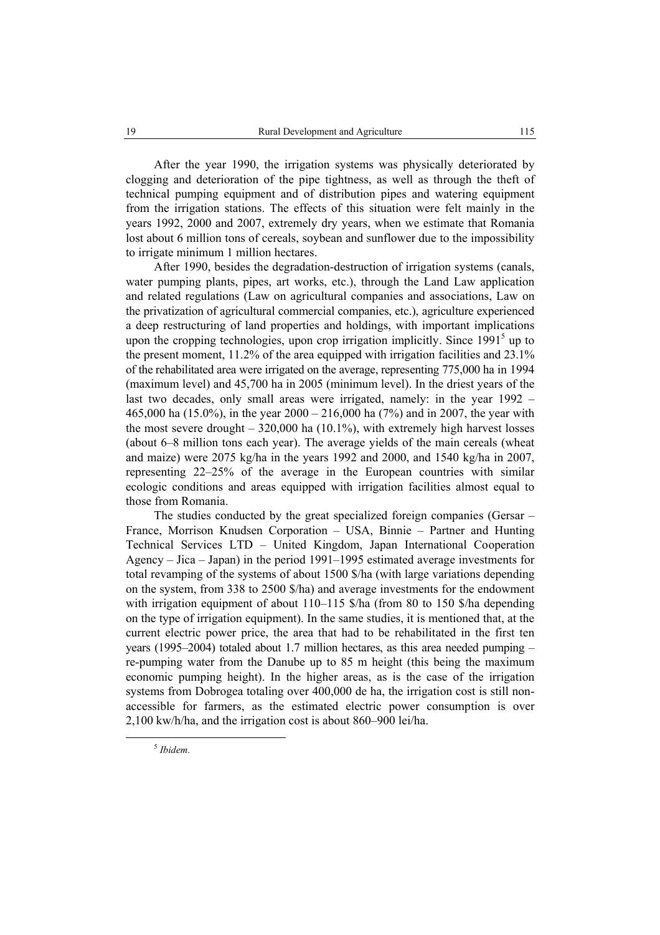After the year 1990, the irrigation systems was physically deteriorated by clogging and deterioration of the pipe tightness, as well as through the theft of technical pumping equipment and of distribution pipes and watering equipment from the irrigation stations. The effects of this situation were felt mainly in the years 1992, 2000 and 2007, extremely dry years, when we estimate that Romania lost about 6 million tons of cereals, soybean and sunflower due to the impossibility to irrigate minimum 1 million hectares.

After 1990, besides the degradation-destruction of irrigation systems (canals, water pumping plants, pipes, art works, etc.), through the Land Law application and related regulations (Law on agricultural companies and associations, Law on the privatization of agricultural commercial companies, etc.), agriculture experienced a deep restructuring of land properties and holdings, with important implications upon the cropping technologies, upon crop irrigation implicitly. Since  $1991<sup>5</sup>$  up to the present moment, 11.2% of the area equipped with irrigation facilities and 23.1% of the rehabilitated area were irrigated on the average, representing 775,000 ha in 1994 (maximum level) and 45,700 ha in 2005 (minimum level). In the driest years of the last two decades, only small areas were irrigated, namely: in the year 1992 – 465,000 ha (15.0%), in the year 2000 – 216,000 ha (7%) and in 2007, the year with the most severe drought – 320,000 ha (10.1%), with extremely high harvest losses (about 6–8 million tons each year). The average yields of the main cereals (wheat and maize) were 2075 kg/ha in the years 1992 and 2000, and 1540 kg/ha in 2007, representing 22–25% of the average in the European countries with similar ecologic conditions and areas equipped with irrigation facilities almost equal to those from Romania.

The studies conducted by the great specialized foreign companies (Gersar – France, Morrison Knudsen Corporation – USA, Binnie – Partner and Hunting Technical Services LTD – United Kingdom, Japan International Cooperation Agency – Jica – Japan) in the period 1991–1995 estimated average investments for total revamping of the systems of about 1500 \$/ha (with large variations depending on the system, from 338 to 2500 \$/ha) and average investments for the endowment with irrigation equipment of about 110–115 \$/ha (from 80 to 150 \$/ha depending on the type of irrigation equipment). In the same studies, it is mentioned that, at the current electric power price, the area that had to be rehabilitated in the first ten years (1995–2004) totaled about 1.7 million hectares, as this area needed pumping – re-pumping water from the Danube up to 85 m height (this being the maximum economic pumping height). In the higher areas, as is the case of the irrigation systems from Dobrogea totaling over 400,000 de ha, the irrigation cost is still nonaccessible for farmers, as the estimated electric power consumption is over 2,100 kw/h/ha, and the irrigation cost is about 860–900 lei/ha.

5 *Ibidem*.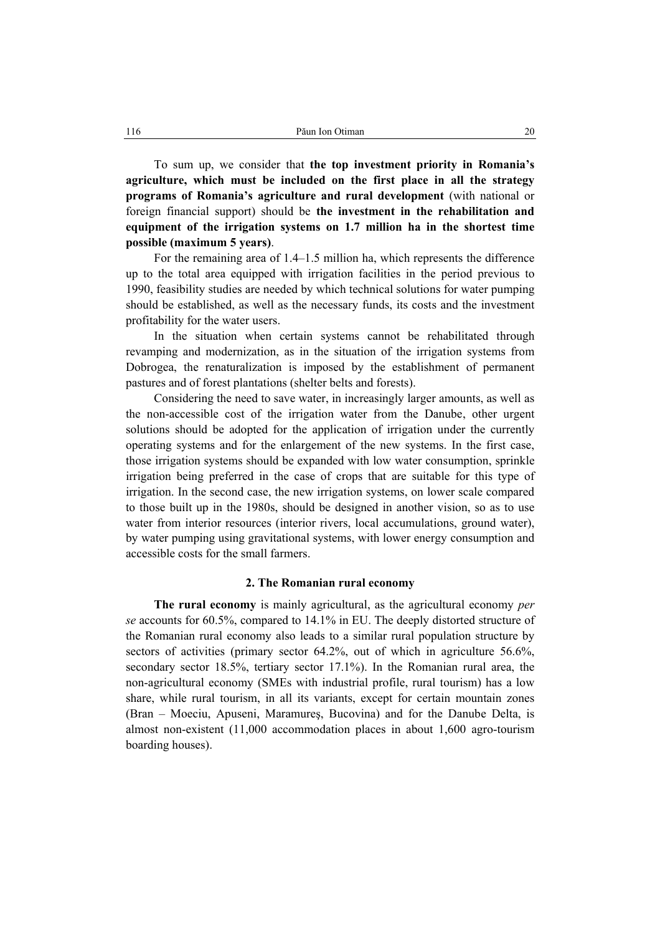To sum up, we consider that **the top investment priority in Romania's agriculture, which must be included on the first place in all the strategy programs of Romania's agriculture and rural development** (with national or foreign financial support) should be **the investment in the rehabilitation and equipment of the irrigation systems on 1.7 million ha in the shortest time possible (maximum 5 years)**.

For the remaining area of 1.4–1.5 million ha, which represents the difference up to the total area equipped with irrigation facilities in the period previous to 1990, feasibility studies are needed by which technical solutions for water pumping should be established, as well as the necessary funds, its costs and the investment profitability for the water users.

In the situation when certain systems cannot be rehabilitated through revamping and modernization, as in the situation of the irrigation systems from Dobrogea, the renaturalization is imposed by the establishment of permanent pastures and of forest plantations (shelter belts and forests).

Considering the need to save water, in increasingly larger amounts, as well as the non-accessible cost of the irrigation water from the Danube, other urgent solutions should be adopted for the application of irrigation under the currently operating systems and for the enlargement of the new systems. In the first case, those irrigation systems should be expanded with low water consumption, sprinkle irrigation being preferred in the case of crops that are suitable for this type of irrigation. In the second case, the new irrigation systems, on lower scale compared to those built up in the 1980s, should be designed in another vision, so as to use water from interior resources (interior rivers, local accumulations, ground water), by water pumping using gravitational systems, with lower energy consumption and accessible costs for the small farmers.

### **2. The Romanian rural economy**

**The rural economy** is mainly agricultural, as the agricultural economy *per se* accounts for 60.5%, compared to 14.1% in EU. The deeply distorted structure of the Romanian rural economy also leads to a similar rural population structure by sectors of activities (primary sector 64.2%, out of which in agriculture 56.6%, secondary sector 18.5%, tertiary sector 17.1%). In the Romanian rural area, the non-agricultural economy (SMEs with industrial profile, rural tourism) has a low share, while rural tourism, in all its variants, except for certain mountain zones (Bran – Moeciu, Apuseni, Maramureş, Bucovina) and for the Danube Delta, is almost non-existent (11,000 accommodation places in about 1,600 agro-tourism boarding houses).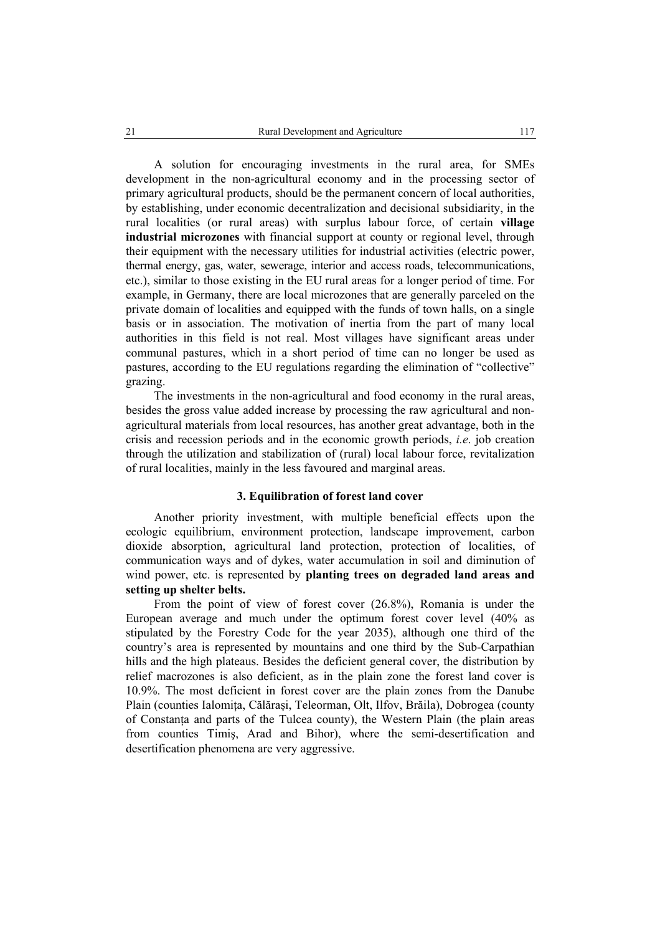A solution for encouraging investments in the rural area, for SMEs development in the non-agricultural economy and in the processing sector of primary agricultural products, should be the permanent concern of local authorities, by establishing, under economic decentralization and decisional subsidiarity, in the rural localities (or rural areas) with surplus labour force, of certain **village industrial microzones** with financial support at county or regional level, through their equipment with the necessary utilities for industrial activities (electric power, thermal energy, gas, water, sewerage, interior and access roads, telecommunications, etc.), similar to those existing in the EU rural areas for a longer period of time. For example, in Germany, there are local microzones that are generally parceled on the private domain of localities and equipped with the funds of town halls, on a single basis or in association. The motivation of inertia from the part of many local authorities in this field is not real. Most villages have significant areas under communal pastures, which in a short period of time can no longer be used as pastures, according to the EU regulations regarding the elimination of "collective" grazing.

The investments in the non-agricultural and food economy in the rural areas, besides the gross value added increase by processing the raw agricultural and nonagricultural materials from local resources, has another great advantage, both in the crisis and recession periods and in the economic growth periods, *i.e*. job creation through the utilization and stabilization of (rural) local labour force, revitalization of rural localities, mainly in the less favoured and marginal areas.

## **3. Equilibration of forest land cover**

Another priority investment, with multiple beneficial effects upon the ecologic equilibrium, environment protection, landscape improvement, carbon dioxide absorption, agricultural land protection, protection of localities, of communication ways and of dykes, water accumulation in soil and diminution of wind power, etc. is represented by **planting trees on degraded land areas and setting up shelter belts.**

From the point of view of forest cover (26.8%), Romania is under the European average and much under the optimum forest cover level (40% as stipulated by the Forestry Code for the year 2035), although one third of the country's area is represented by mountains and one third by the Sub-Carpathian hills and the high plateaus. Besides the deficient general cover, the distribution by relief macrozones is also deficient, as in the plain zone the forest land cover is 10.9%. The most deficient in forest cover are the plain zones from the Danube Plain (counties Ialomiţa, Călăraşi, Teleorman, Olt, Ilfov, Brăila), Dobrogea (county of Constanta and parts of the Tulcea county), the Western Plain (the plain areas from counties Timiş, Arad and Bihor), where the semi-desertification and desertification phenomena are very aggressive.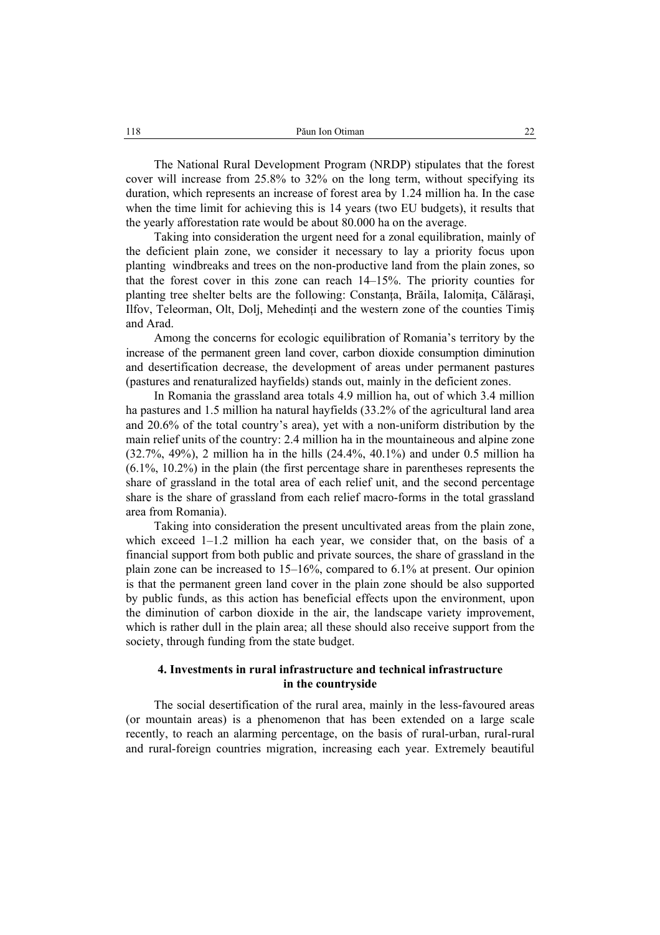The National Rural Development Program (NRDP) stipulates that the forest cover will increase from 25.8% to 32% on the long term, without specifying its duration, which represents an increase of forest area by 1.24 million ha. In the case when the time limit for achieving this is 14 years (two EU budgets), it results that the yearly afforestation rate would be about 80.000 ha on the average.

Taking into consideration the urgent need for a zonal equilibration, mainly of the deficient plain zone, we consider it necessary to lay a priority focus upon planting windbreaks and trees on the non-productive land from the plain zones, so that the forest cover in this zone can reach 14–15%. The priority counties for planting tree shelter belts are the following: Constanța, Brăila, Ialomița, Călărași, Ilfov, Teleorman, Olt, Dolj, Mehedinţi and the western zone of the counties Timiş and Arad.

Among the concerns for ecologic equilibration of Romania's territory by the increase of the permanent green land cover, carbon dioxide consumption diminution and desertification decrease, the development of areas under permanent pastures (pastures and renaturalized hayfields) stands out, mainly in the deficient zones.

In Romania the grassland area totals 4.9 million ha, out of which 3.4 million ha pastures and 1.5 million ha natural hayfields (33.2% of the agricultural land area and 20.6% of the total country's area), yet with a non-uniform distribution by the main relief units of the country: 2.4 million ha in the mountaineous and alpine zone (32.7%, 49%), 2 million ha in the hills (24.4%, 40.1%) and under 0.5 million ha (6.1%, 10.2%) in the plain (the first percentage share in parentheses represents the share of grassland in the total area of each relief unit, and the second percentage share is the share of grassland from each relief macro-forms in the total grassland area from Romania).

Taking into consideration the present uncultivated areas from the plain zone, which exceed 1–1.2 million ha each year, we consider that, on the basis of a financial support from both public and private sources, the share of grassland in the plain zone can be increased to 15–16%, compared to 6.1% at present. Our opinion is that the permanent green land cover in the plain zone should be also supported by public funds, as this action has beneficial effects upon the environment, upon the diminution of carbon dioxide in the air, the landscape variety improvement, which is rather dull in the plain area; all these should also receive support from the society, through funding from the state budget.

## **4. Investments in rural infrastructure and technical infrastructure in the countryside**

The social desertification of the rural area, mainly in the less-favoured areas (or mountain areas) is a phenomenon that has been extended on a large scale recently, to reach an alarming percentage, on the basis of rural-urban, rural-rural and rural-foreign countries migration, increasing each year. Extremely beautiful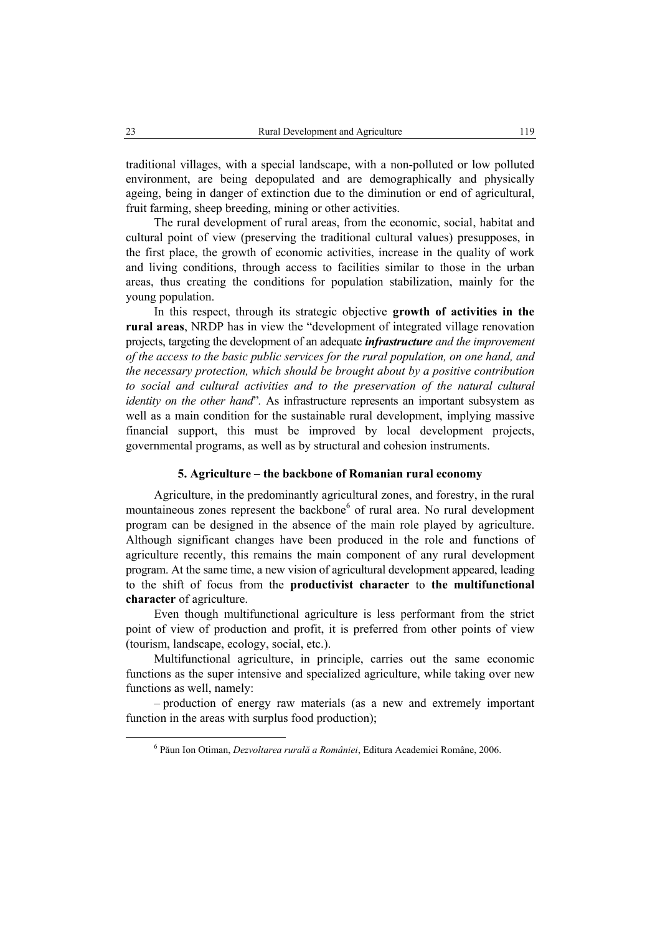traditional villages, with a special landscape, with a non-polluted or low polluted environment, are being depopulated and are demographically and physically ageing, being in danger of extinction due to the diminution or end of agricultural, fruit farming, sheep breeding, mining or other activities.

The rural development of rural areas, from the economic, social, habitat and cultural point of view (preserving the traditional cultural values) presupposes, in the first place, the growth of economic activities, increase in the quality of work and living conditions, through access to facilities similar to those in the urban areas, thus creating the conditions for population stabilization, mainly for the young population.

In this respect, through its strategic objective **growth of activities in the rural areas**, NRDP has in view the "development of integrated village renovation projects, targeting the development of an adequate *infrastructure and the improvement of the access to the basic public services for the rural population, on one hand, and the necessary protection, which should be brought about by a positive contribution to social and cultural activities and to the preservation of the natural cultural identity on the other hand*"*.* As infrastructure represents an important subsystem as well as a main condition for the sustainable rural development, implying massive financial support, this must be improved by local development projects, governmental programs, as well as by structural and cohesion instruments.

## **5. Agriculture – the backbone of Romanian rural economy**

Agriculture, in the predominantly agricultural zones, and forestry, in the rural mountaineous zones represent the backbone<sup>6</sup> of rural area. No rural development program can be designed in the absence of the main role played by agriculture. Although significant changes have been produced in the role and functions of agriculture recently, this remains the main component of any rural development program. At the same time, a new vision of agricultural development appeared, leading to the shift of focus from the **productivist character** to **the multifunctional character** of agriculture.

Even though multifunctional agriculture is less performant from the strict point of view of production and profit, it is preferred from other points of view (tourism, landscape, ecology, social, etc.).

Multifunctional agriculture, in principle, carries out the same economic functions as the super intensive and specialized agriculture, while taking over new functions as well, namely:

– production of energy raw materials (as a new and extremely important function in the areas with surplus food production);

 <sup>6</sup> Păun Ion Otiman, *Dezvoltarea rurală a României*, Editura Academiei Române, 2006.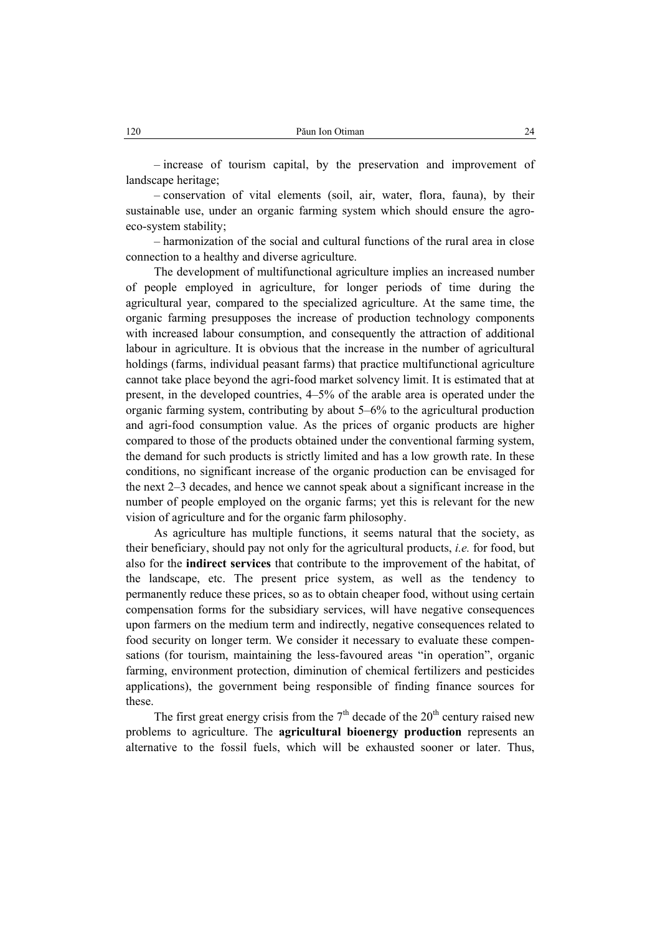– increase of tourism capital, by the preservation and improvement of landscape heritage;

– conservation of vital elements (soil, air, water, flora, fauna), by their sustainable use, under an organic farming system which should ensure the agroeco-system stability;

– harmonization of the social and cultural functions of the rural area in close connection to a healthy and diverse agriculture.

The development of multifunctional agriculture implies an increased number of people employed in agriculture, for longer periods of time during the agricultural year, compared to the specialized agriculture. At the same time, the organic farming presupposes the increase of production technology components with increased labour consumption, and consequently the attraction of additional labour in agriculture. It is obvious that the increase in the number of agricultural holdings (farms, individual peasant farms) that practice multifunctional agriculture cannot take place beyond the agri-food market solvency limit. It is estimated that at present, in the developed countries, 4–5% of the arable area is operated under the organic farming system, contributing by about 5–6% to the agricultural production and agri-food consumption value. As the prices of organic products are higher compared to those of the products obtained under the conventional farming system, the demand for such products is strictly limited and has a low growth rate. In these conditions, no significant increase of the organic production can be envisaged for the next 2–3 decades, and hence we cannot speak about a significant increase in the number of people employed on the organic farms; yet this is relevant for the new vision of agriculture and for the organic farm philosophy.

As agriculture has multiple functions, it seems natural that the society, as their beneficiary, should pay not only for the agricultural products, *i.e.* for food, but also for the **indirect services** that contribute to the improvement of the habitat, of the landscape, etc. The present price system, as well as the tendency to permanently reduce these prices, so as to obtain cheaper food, without using certain compensation forms for the subsidiary services, will have negative consequences upon farmers on the medium term and indirectly, negative consequences related to food security on longer term. We consider it necessary to evaluate these compensations (for tourism, maintaining the less-favoured areas "in operation", organic farming, environment protection, diminution of chemical fertilizers and pesticides applications), the government being responsible of finding finance sources for these.

The first great energy crisis from the  $7<sup>th</sup>$  decade of the 20<sup>th</sup> century raised new problems to agriculture. The **agricultural bioenergy production** represents an alternative to the fossil fuels, which will be exhausted sooner or later. Thus,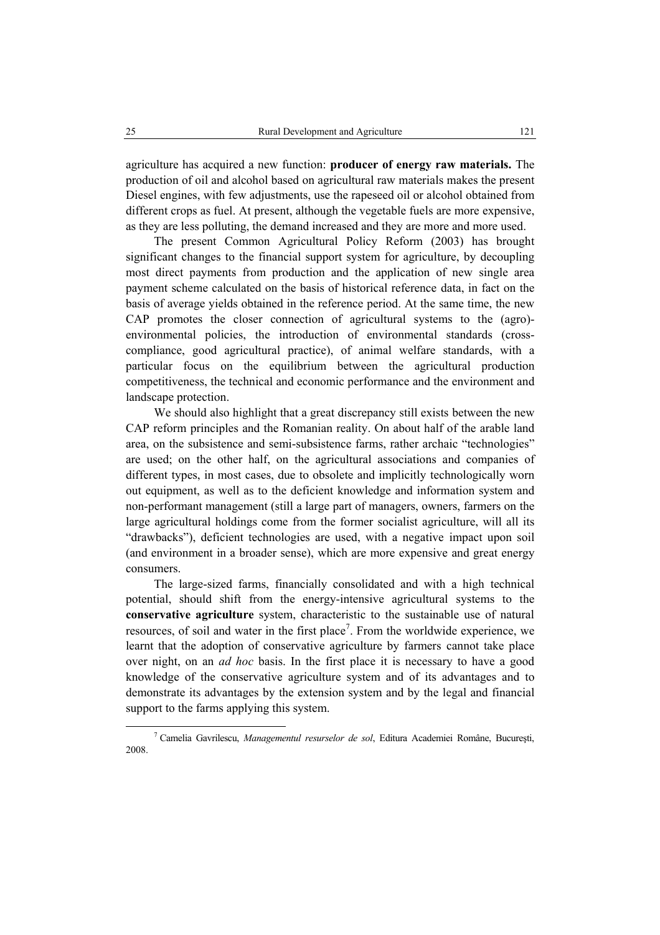agriculture has acquired a new function: **producer of energy raw materials.** The production of oil and alcohol based on agricultural raw materials makes the present Diesel engines, with few adjustments, use the rapeseed oil or alcohol obtained from different crops as fuel. At present, although the vegetable fuels are more expensive, as they are less polluting, the demand increased and they are more and more used.

The present Common Agricultural Policy Reform (2003) has brought significant changes to the financial support system for agriculture, by decoupling most direct payments from production and the application of new single area payment scheme calculated on the basis of historical reference data, in fact on the basis of average yields obtained in the reference period. At the same time, the new CAP promotes the closer connection of agricultural systems to the (agro) environmental policies, the introduction of environmental standards (crosscompliance, good agricultural practice), of animal welfare standards, with a particular focus on the equilibrium between the agricultural production competitiveness, the technical and economic performance and the environment and landscape protection.

We should also highlight that a great discrepancy still exists between the new CAP reform principles and the Romanian reality. On about half of the arable land area, on the subsistence and semi-subsistence farms, rather archaic "technologies" are used; on the other half, on the agricultural associations and companies of different types, in most cases, due to obsolete and implicitly technologically worn out equipment, as well as to the deficient knowledge and information system and non-performant management (still a large part of managers, owners, farmers on the large agricultural holdings come from the former socialist agriculture, will all its "drawbacks"), deficient technologies are used, with a negative impact upon soil (and environment in a broader sense), which are more expensive and great energy consumers.

The large-sized farms, financially consolidated and with a high technical potential, should shift from the energy-intensive agricultural systems to the **conservative agriculture** system, characteristic to the sustainable use of natural resources, of soil and water in the first place<sup>7</sup>. From the worldwide experience, we learnt that the adoption of conservative agriculture by farmers cannot take place over night, on an *ad hoc* basis. In the first place it is necessary to have a good knowledge of the conservative agriculture system and of its advantages and to demonstrate its advantages by the extension system and by the legal and financial support to the farms applying this system.

 $\overline{7}$  Camelia Gavrilescu, *Managementul resurselor de sol*, Editura Academiei Române, Bucureşti, 2008.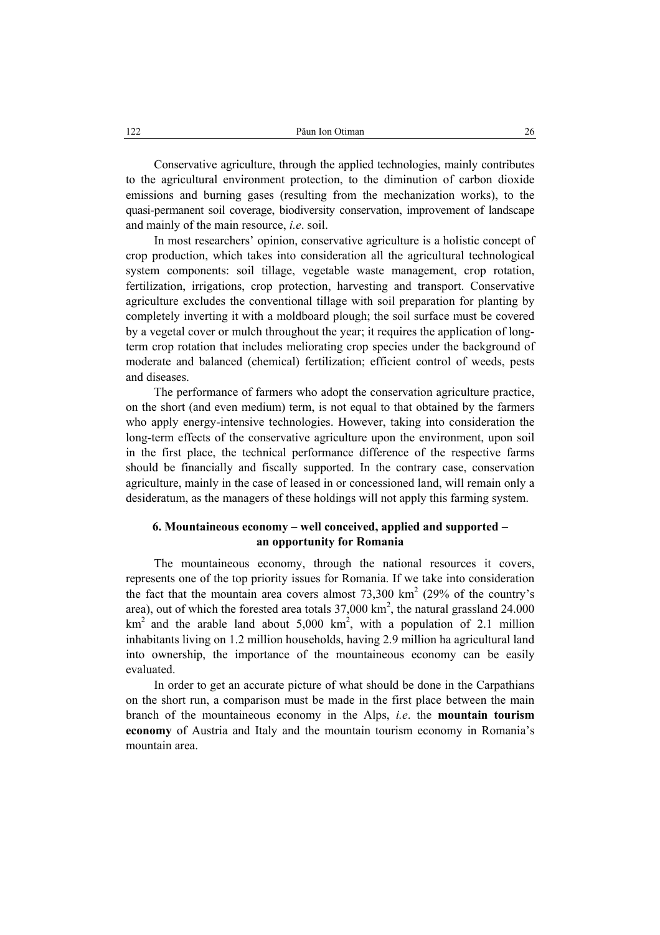Conservative agriculture, through the applied technologies, mainly contributes to the agricultural environment protection, to the diminution of carbon dioxide emissions and burning gases (resulting from the mechanization works), to the quasi-permanent soil coverage, biodiversity conservation, improvement of landscape and mainly of the main resource, *i.e*. soil.

In most researchers' opinion, conservative agriculture is a holistic concept of crop production, which takes into consideration all the agricultural technological system components: soil tillage, vegetable waste management, crop rotation, fertilization, irrigations, crop protection, harvesting and transport. Conservative agriculture excludes the conventional tillage with soil preparation for planting by completely inverting it with a moldboard plough; the soil surface must be covered by a vegetal cover or mulch throughout the year; it requires the application of longterm crop rotation that includes meliorating crop species under the background of moderate and balanced (chemical) fertilization; efficient control of weeds, pests and diseases.

The performance of farmers who adopt the conservation agriculture practice, on the short (and even medium) term, is not equal to that obtained by the farmers who apply energy-intensive technologies. However, taking into consideration the long-term effects of the conservative agriculture upon the environment, upon soil in the first place, the technical performance difference of the respective farms should be financially and fiscally supported. In the contrary case, conservation agriculture, mainly in the case of leased in or concessioned land, will remain only a desideratum, as the managers of these holdings will not apply this farming system.

## **6. Mountaineous economy – well conceived, applied and supported – an opportunity for Romania**

The mountaineous economy, through the national resources it covers, represents one of the top priority issues for Romania. If we take into consideration the fact that the mountain area covers almost  $73,300 \text{ km}^2$  (29% of the country's area), out of which the forested area totals  $37,000 \text{ km}^2$ , the natural grassland  $24.000$  $km<sup>2</sup>$  and the arable land about 5,000 km<sup>2</sup>, with a population of 2.1 million inhabitants living on 1.2 million households, having 2.9 million ha agricultural land into ownership, the importance of the mountaineous economy can be easily evaluated.

In order to get an accurate picture of what should be done in the Carpathians on the short run, a comparison must be made in the first place between the main branch of the mountaineous economy in the Alps, *i.e*. the **mountain tourism economy** of Austria and Italy and the mountain tourism economy in Romania's mountain area.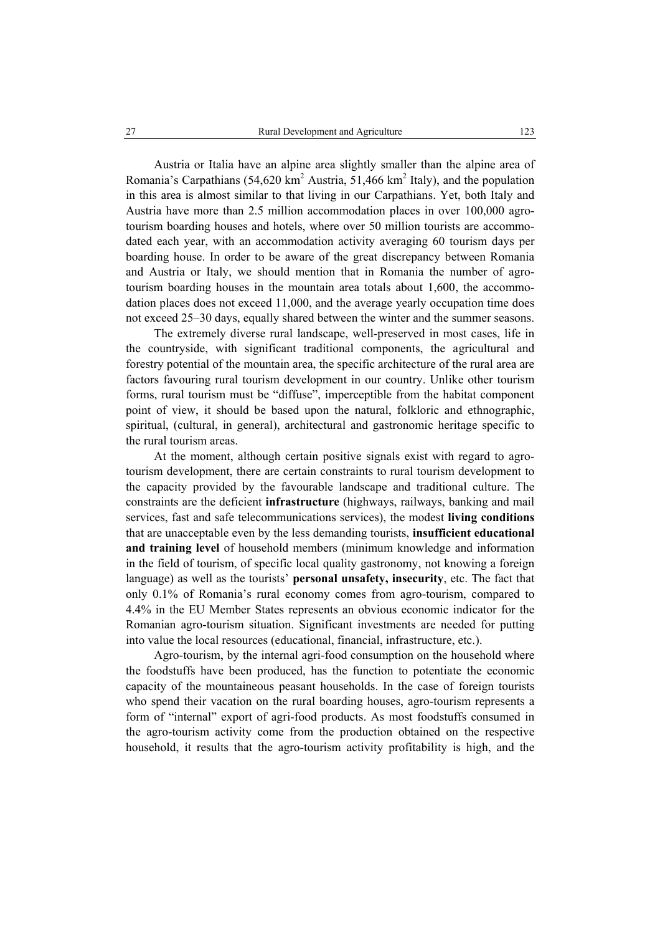Austria or Italia have an alpine area slightly smaller than the alpine area of Romania's Carpathians  $(54,620 \text{ km}^2 \text{ Austria}, 51,466 \text{ km}^2 \text{ Italy})$ , and the population in this area is almost similar to that living in our Carpathians. Yet, both Italy and Austria have more than 2.5 million accommodation places in over 100,000 agrotourism boarding houses and hotels, where over 50 million tourists are accommodated each year, with an accommodation activity averaging 60 tourism days per boarding house. In order to be aware of the great discrepancy between Romania and Austria or Italy, we should mention that in Romania the number of agrotourism boarding houses in the mountain area totals about 1,600, the accommodation places does not exceed 11,000, and the average yearly occupation time does not exceed 25–30 days, equally shared between the winter and the summer seasons.

The extremely diverse rural landscape, well-preserved in most cases, life in the countryside, with significant traditional components, the agricultural and forestry potential of the mountain area, the specific architecture of the rural area are factors favouring rural tourism development in our country. Unlike other tourism forms, rural tourism must be "diffuse", imperceptible from the habitat component point of view, it should be based upon the natural, folkloric and ethnographic, spiritual, (cultural, in general), architectural and gastronomic heritage specific to the rural tourism areas.

At the moment, although certain positive signals exist with regard to agrotourism development, there are certain constraints to rural tourism development to the capacity provided by the favourable landscape and traditional culture. The constraints are the deficient **infrastructure** (highways, railways, banking and mail services, fast and safe telecommunications services), the modest **living conditions** that are unacceptable even by the less demanding tourists, **insufficient educational and training level** of household members (minimum knowledge and information in the field of tourism, of specific local quality gastronomy, not knowing a foreign language) as well as the tourists' **personal unsafety, insecurity**, etc. The fact that only 0.1% of Romania's rural economy comes from agro-tourism, compared to 4.4% in the EU Member States represents an obvious economic indicator for the Romanian agro-tourism situation. Significant investments are needed for putting into value the local resources (educational, financial, infrastructure, etc.).

Agro-tourism, by the internal agri-food consumption on the household where the foodstuffs have been produced, has the function to potentiate the economic capacity of the mountaineous peasant households. In the case of foreign tourists who spend their vacation on the rural boarding houses, agro-tourism represents a form of "internal" export of agri-food products. As most foodstuffs consumed in the agro-tourism activity come from the production obtained on the respective household, it results that the agro-tourism activity profitability is high, and the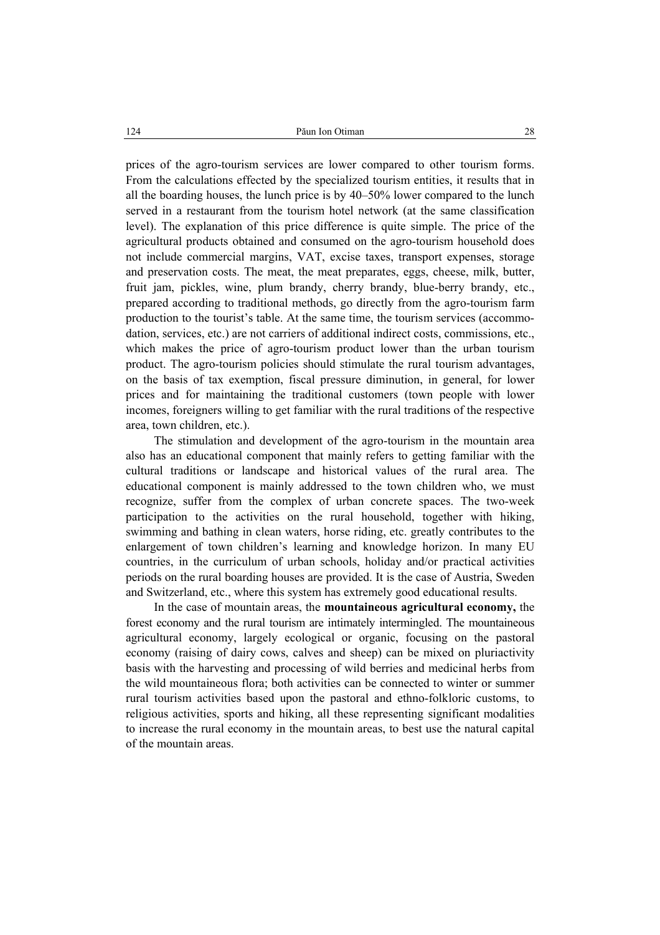prices of the agro-tourism services are lower compared to other tourism forms. From the calculations effected by the specialized tourism entities, it results that in all the boarding houses, the lunch price is by 40–50% lower compared to the lunch served in a restaurant from the tourism hotel network (at the same classification level). The explanation of this price difference is quite simple. The price of the agricultural products obtained and consumed on the agro-tourism household does not include commercial margins, VAT, excise taxes, transport expenses, storage and preservation costs. The meat, the meat preparates, eggs, cheese, milk, butter, fruit jam, pickles, wine, plum brandy, cherry brandy, blue-berry brandy, etc., prepared according to traditional methods, go directly from the agro-tourism farm production to the tourist's table. At the same time, the tourism services (accommodation, services, etc.) are not carriers of additional indirect costs, commissions, etc., which makes the price of agro-tourism product lower than the urban tourism product. The agro-tourism policies should stimulate the rural tourism advantages, on the basis of tax exemption, fiscal pressure diminution, in general, for lower prices and for maintaining the traditional customers (town people with lower incomes, foreigners willing to get familiar with the rural traditions of the respective area, town children, etc.).

The stimulation and development of the agro-tourism in the mountain area also has an educational component that mainly refers to getting familiar with the cultural traditions or landscape and historical values of the rural area. The educational component is mainly addressed to the town children who, we must recognize, suffer from the complex of urban concrete spaces. The two-week participation to the activities on the rural household, together with hiking, swimming and bathing in clean waters, horse riding, etc. greatly contributes to the enlargement of town children's learning and knowledge horizon. In many EU countries, in the curriculum of urban schools, holiday and/or practical activities periods on the rural boarding houses are provided. It is the case of Austria, Sweden and Switzerland, etc., where this system has extremely good educational results.

In the case of mountain areas, the **mountaineous agricultural economy,** the forest economy and the rural tourism are intimately intermingled. The mountaineous agricultural economy, largely ecological or organic, focusing on the pastoral economy (raising of dairy cows, calves and sheep) can be mixed on pluriactivity basis with the harvesting and processing of wild berries and medicinal herbs from the wild mountaineous flora; both activities can be connected to winter or summer rural tourism activities based upon the pastoral and ethno-folkloric customs, to religious activities, sports and hiking, all these representing significant modalities to increase the rural economy in the mountain areas, to best use the natural capital of the mountain areas.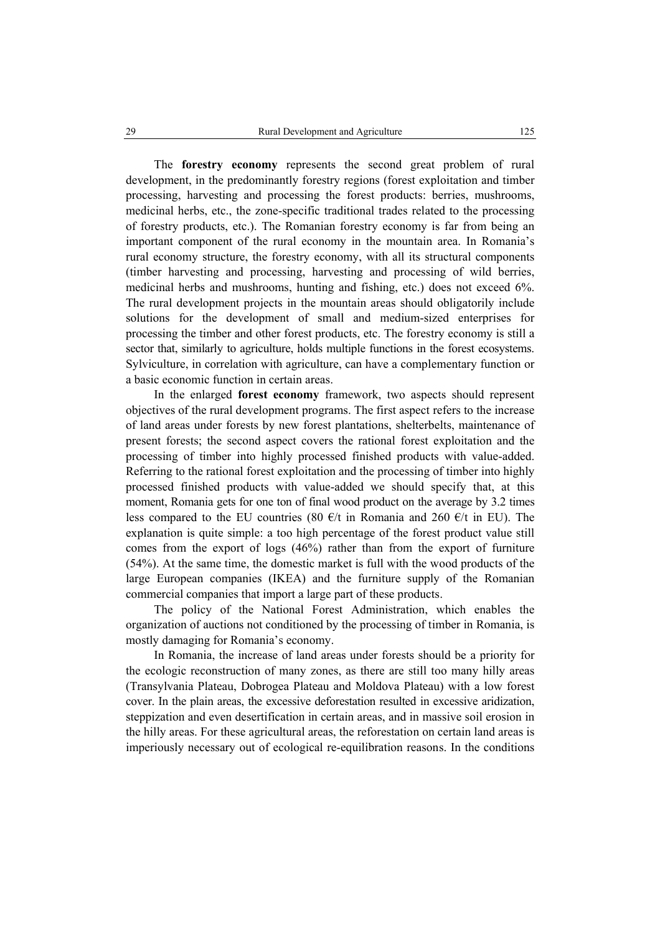The **forestry economy** represents the second great problem of rural development, in the predominantly forestry regions (forest exploitation and timber processing, harvesting and processing the forest products: berries, mushrooms, medicinal herbs, etc., the zone-specific traditional trades related to the processing of forestry products, etc.). The Romanian forestry economy is far from being an important component of the rural economy in the mountain area. In Romania's rural economy structure, the forestry economy, with all its structural components (timber harvesting and processing, harvesting and processing of wild berries, medicinal herbs and mushrooms, hunting and fishing, etc.) does not exceed 6%. The rural development projects in the mountain areas should obligatorily include solutions for the development of small and medium-sized enterprises for processing the timber and other forest products, etc. The forestry economy is still a sector that, similarly to agriculture, holds multiple functions in the forest ecosystems. Sylviculture, in correlation with agriculture, can have a complementary function or a basic economic function in certain areas.

In the enlarged **forest economy** framework, two aspects should represent objectives of the rural development programs. The first aspect refers to the increase of land areas under forests by new forest plantations, shelterbelts, maintenance of present forests; the second aspect covers the rational forest exploitation and the processing of timber into highly processed finished products with value-added. Referring to the rational forest exploitation and the processing of timber into highly processed finished products with value-added we should specify that, at this moment, Romania gets for one ton of final wood product on the average by 3.2 times less compared to the EU countries (80  $\epsilon$ /t in Romania and 260  $\epsilon$ /t in EU). The explanation is quite simple: a too high percentage of the forest product value still comes from the export of logs (46%) rather than from the export of furniture (54%). At the same time, the domestic market is full with the wood products of the large European companies (IKEA) and the furniture supply of the Romanian commercial companies that import a large part of these products.

The policy of the National Forest Administration, which enables the organization of auctions not conditioned by the processing of timber in Romania, is mostly damaging for Romania's economy.

In Romania, the increase of land areas under forests should be a priority for the ecologic reconstruction of many zones, as there are still too many hilly areas (Transylvania Plateau, Dobrogea Plateau and Moldova Plateau) with a low forest cover. In the plain areas, the excessive deforestation resulted in excessive aridization, steppization and even desertification in certain areas, and in massive soil erosion in the hilly areas. For these agricultural areas, the reforestation on certain land areas is imperiously necessary out of ecological re-equilibration reasons. In the conditions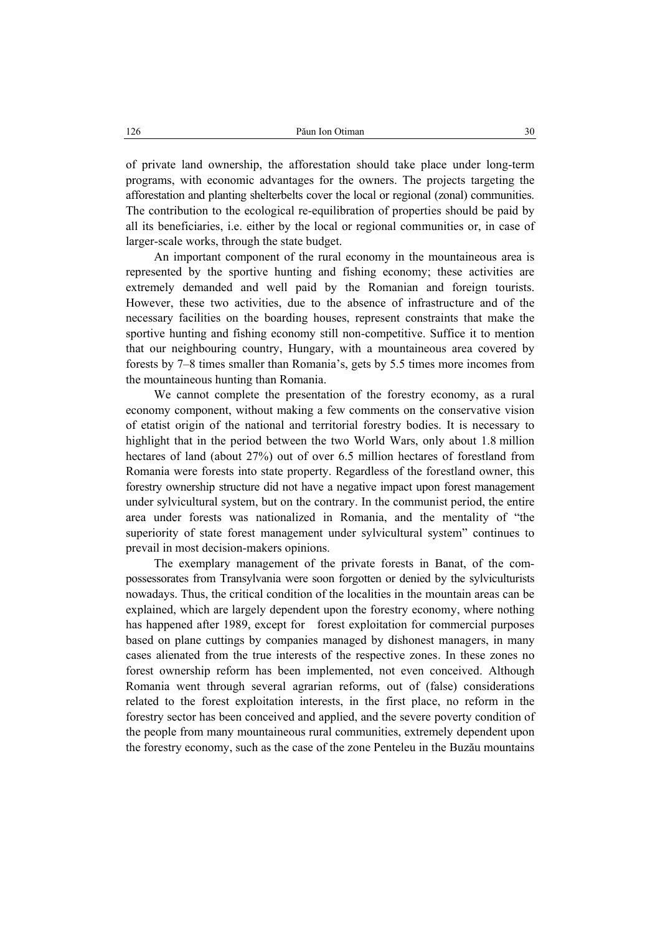of private land ownership, the afforestation should take place under long-term programs, with economic advantages for the owners. The projects targeting the afforestation and planting shelterbelts cover the local or regional (zonal) communities. The contribution to the ecological re-equilibration of properties should be paid by all its beneficiaries, i.e. either by the local or regional communities or, in case of larger-scale works, through the state budget.

An important component of the rural economy in the mountaineous area is represented by the sportive hunting and fishing economy; these activities are extremely demanded and well paid by the Romanian and foreign tourists. However, these two activities, due to the absence of infrastructure and of the necessary facilities on the boarding houses, represent constraints that make the sportive hunting and fishing economy still non-competitive. Suffice it to mention that our neighbouring country, Hungary, with a mountaineous area covered by forests by 7–8 times smaller than Romania's, gets by 5.5 times more incomes from the mountaineous hunting than Romania.

We cannot complete the presentation of the forestry economy, as a rural economy component, without making a few comments on the conservative vision of etatist origin of the national and territorial forestry bodies. It is necessary to highlight that in the period between the two World Wars, only about 1.8 million hectares of land (about 27%) out of over 6.5 million hectares of forestland from Romania were forests into state property. Regardless of the forestland owner, this forestry ownership structure did not have a negative impact upon forest management under sylvicultural system, but on the contrary. In the communist period, the entire area under forests was nationalized in Romania, and the mentality of "the superiority of state forest management under sylvicultural system" continues to prevail in most decision-makers opinions.

The exemplary management of the private forests in Banat, of the compossessorates from Transylvania were soon forgotten or denied by the sylviculturists nowadays. Thus, the critical condition of the localities in the mountain areas can be explained, which are largely dependent upon the forestry economy, where nothing has happened after 1989, except for forest exploitation for commercial purposes based on plane cuttings by companies managed by dishonest managers, in many cases alienated from the true interests of the respective zones. In these zones no forest ownership reform has been implemented, not even conceived. Although Romania went through several agrarian reforms, out of (false) considerations related to the forest exploitation interests, in the first place, no reform in the forestry sector has been conceived and applied, and the severe poverty condition of the people from many mountaineous rural communities, extremely dependent upon the forestry economy, such as the case of the zone Penteleu in the Buzău mountains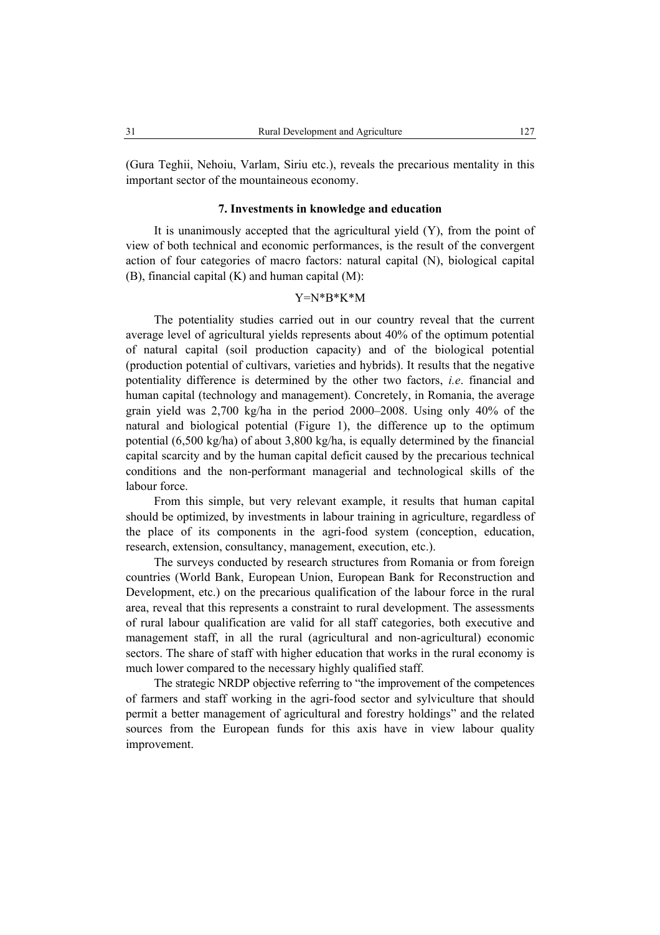(Gura Teghii, Nehoiu, Varlam, Siriu etc.), reveals the precarious mentality in this important sector of the mountaineous economy.

### **7. Investments in knowledge and education**

It is unanimously accepted that the agricultural yield (Y), from the point of view of both technical and economic performances, is the result of the convergent action of four categories of macro factors: natural capital (N), biological capital (B), financial capital (K) and human capital (M):

## Y=N\*B\*K\*M

The potentiality studies carried out in our country reveal that the current average level of agricultural yields represents about 40% of the optimum potential of natural capital (soil production capacity) and of the biological potential (production potential of cultivars, varieties and hybrids). It results that the negative potentiality difference is determined by the other two factors, *i.e*. financial and human capital (technology and management). Concretely, in Romania, the average grain yield was 2,700 kg/ha in the period 2000–2008. Using only 40% of the natural and biological potential (Figure 1), the difference up to the optimum potential (6,500 kg/ha) of about 3,800 kg/ha, is equally determined by the financial capital scarcity and by the human capital deficit caused by the precarious technical conditions and the non-performant managerial and technological skills of the labour force.

From this simple, but very relevant example, it results that human capital should be optimized, by investments in labour training in agriculture, regardless of the place of its components in the agri-food system (conception, education, research, extension, consultancy, management, execution, etc.).

The surveys conducted by research structures from Romania or from foreign countries (World Bank, European Union, European Bank for Reconstruction and Development, etc.) on the precarious qualification of the labour force in the rural area, reveal that this represents a constraint to rural development. The assessments of rural labour qualification are valid for all staff categories, both executive and management staff, in all the rural (agricultural and non-agricultural) economic sectors. The share of staff with higher education that works in the rural economy is much lower compared to the necessary highly qualified staff.

The strategic NRDP objective referring to "the improvement of the competences of farmers and staff working in the agri-food sector and sylviculture that should permit a better management of agricultural and forestry holdings" and the related sources from the European funds for this axis have in view labour quality improvement.